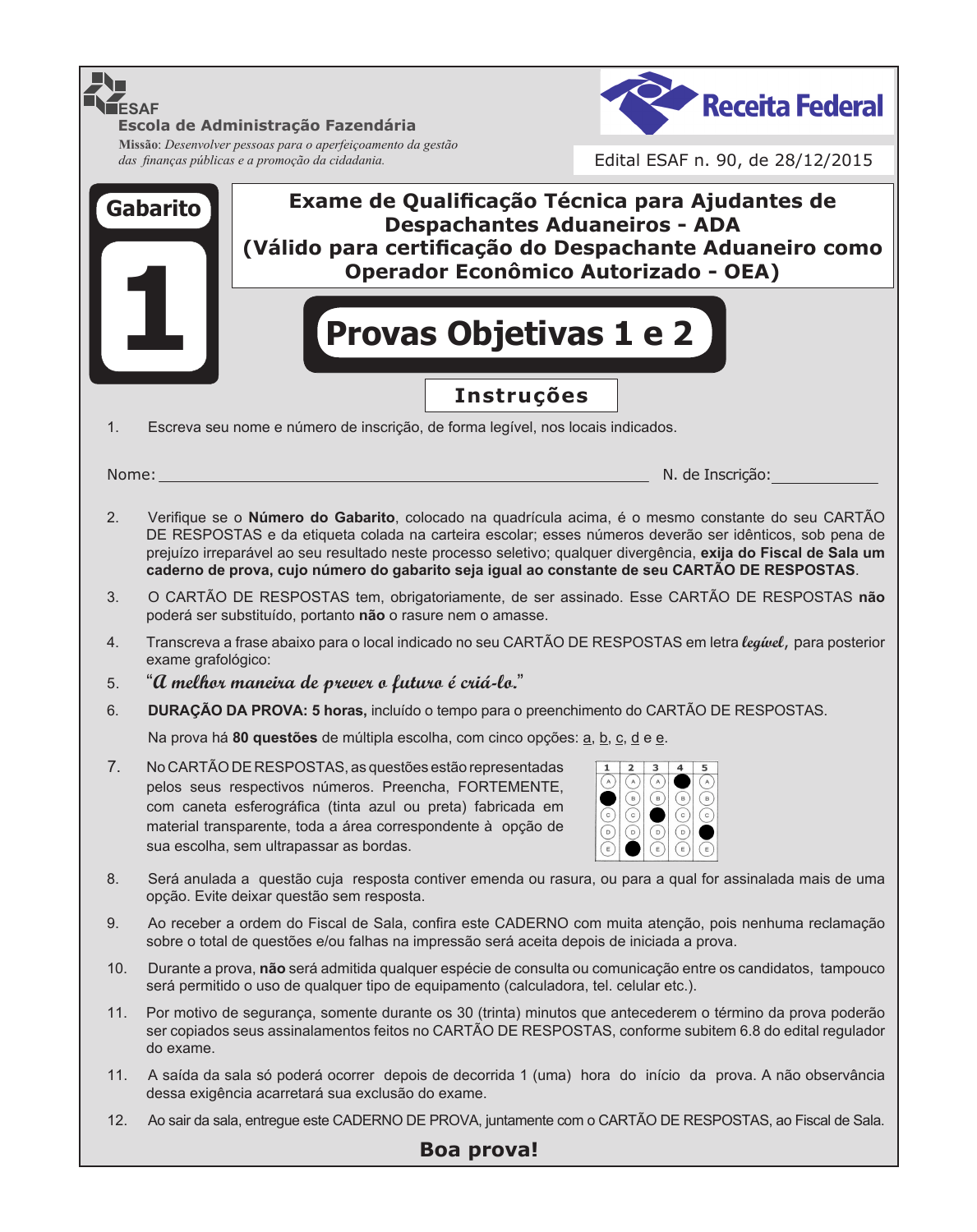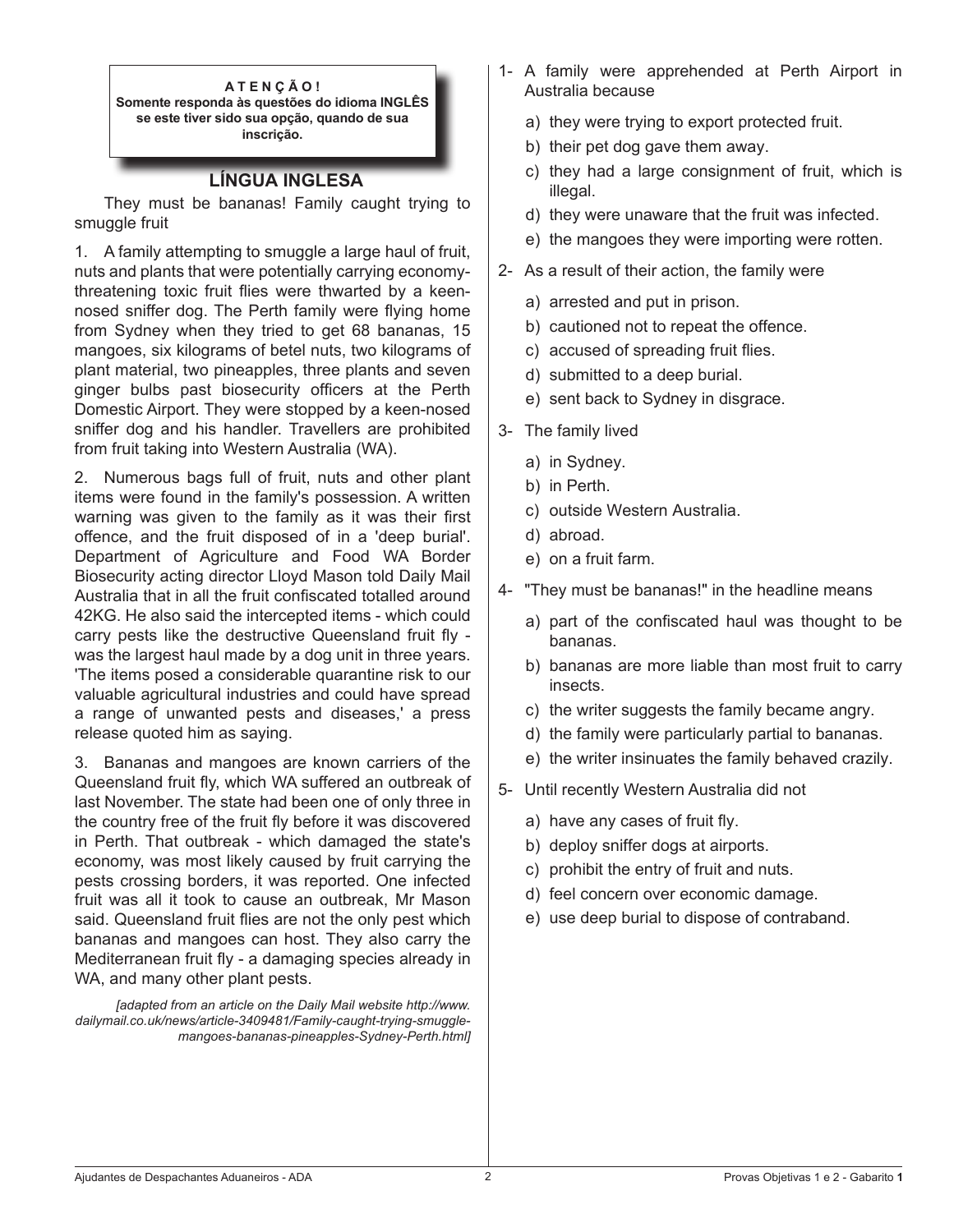**A T E N Ç Ã O ! Somente responda às questões do idioma INGLÊS se este tiver sido sua opção, quando de sua inscrição.**

### **LÍNGUA INGLESA**

 They must be bananas! Family caught trying to smuggle fruit

1. A family attempting to smuggle a large haul of fruit, nuts and plants that were potentially carrying economythreatening toxic fruit flies were thwarted by a keennosed sniffer dog. The Perth family were flying home from Sydney when they tried to get 68 bananas, 15 mangoes, six kilograms of betel nuts, two kilograms of plant material, two pineapples, three plants and seven ginger bulbs past biosecurity officers at the Perth Domestic Airport. They were stopped by a keen-nosed sniffer dog and his handler. Travellers are prohibited from fruit taking into Western Australia (WA).

2. Numerous bags full of fruit, nuts and other plant items were found in the family's possession. A written warning was given to the family as it was their first offence, and the fruit disposed of in a 'deep burial'. Department of Agriculture and Food WA Border Biosecurity acting director Lloyd Mason told Daily Mail Australia that in all the fruit confiscated totalled around 42KG. He also said the intercepted items - which could carry pests like the destructive Queensland fruit fly was the largest haul made by a dog unit in three years. 'The items posed a considerable quarantine risk to our valuable agricultural industries and could have spread a range of unwanted pests and diseases,' a press release quoted him as saying.

3. Bananas and mangoes are known carriers of the Queensland fruit fly, which WA suffered an outbreak of last November. The state had been one of only three in the country free of the fruit fly before it was discovered in Perth. That outbreak - which damaged the state's economy, was most likely caused by fruit carrying the pests crossing borders, it was reported. One infected fruit was all it took to cause an outbreak, Mr Mason said. Queensland fruit flies are not the only pest which bananas and mangoes can host. They also carry the Mediterranean fruit fly - a damaging species already in WA, and many other plant pests.

*[adapted from an article on the Daily Mail website http://www. dailymail.co.uk/news/article-3409481/Family-caught-trying-smugglemangoes-bananas-pineapples-Sydney-Perth.html]*

- 1- A family were apprehended at Perth Airport in Australia because
	- a) they were trying to export protected fruit.
	- b) their pet dog gave them away.
	- c) they had a large consignment of fruit, which is illegal.
	- d) they were unaware that the fruit was infected.
	- e) the mangoes they were importing were rotten.
- 2- As a result of their action, the family were
	- a) arrested and put in prison.
	- b) cautioned not to repeat the offence.
	- c) accused of spreading fruit flies.
	- d) submitted to a deep burial.
	- e) sent back to Sydney in disgrace.
- 3- The family lived
	- a) in Sydney.
	- b) in Perth.
	- c) outside Western Australia.
	- d) abroad.
	- e) on a fruit farm.
- 4- "They must be bananas!" in the headline means
	- a) part of the confiscated haul was thought to be bananas.
	- b) bananas are more liable than most fruit to carry insects.
	- c) the writer suggests the family became angry.
	- d) the family were particularly partial to bananas.
	- e) the writer insinuates the family behaved crazily.
- 5- Until recently Western Australia did not
	- a) have any cases of fruit fly.
	- b) deploy sniffer dogs at airports.
	- c) prohibit the entry of fruit and nuts.
	- d) feel concern over economic damage.
	- e) use deep burial to dispose of contraband.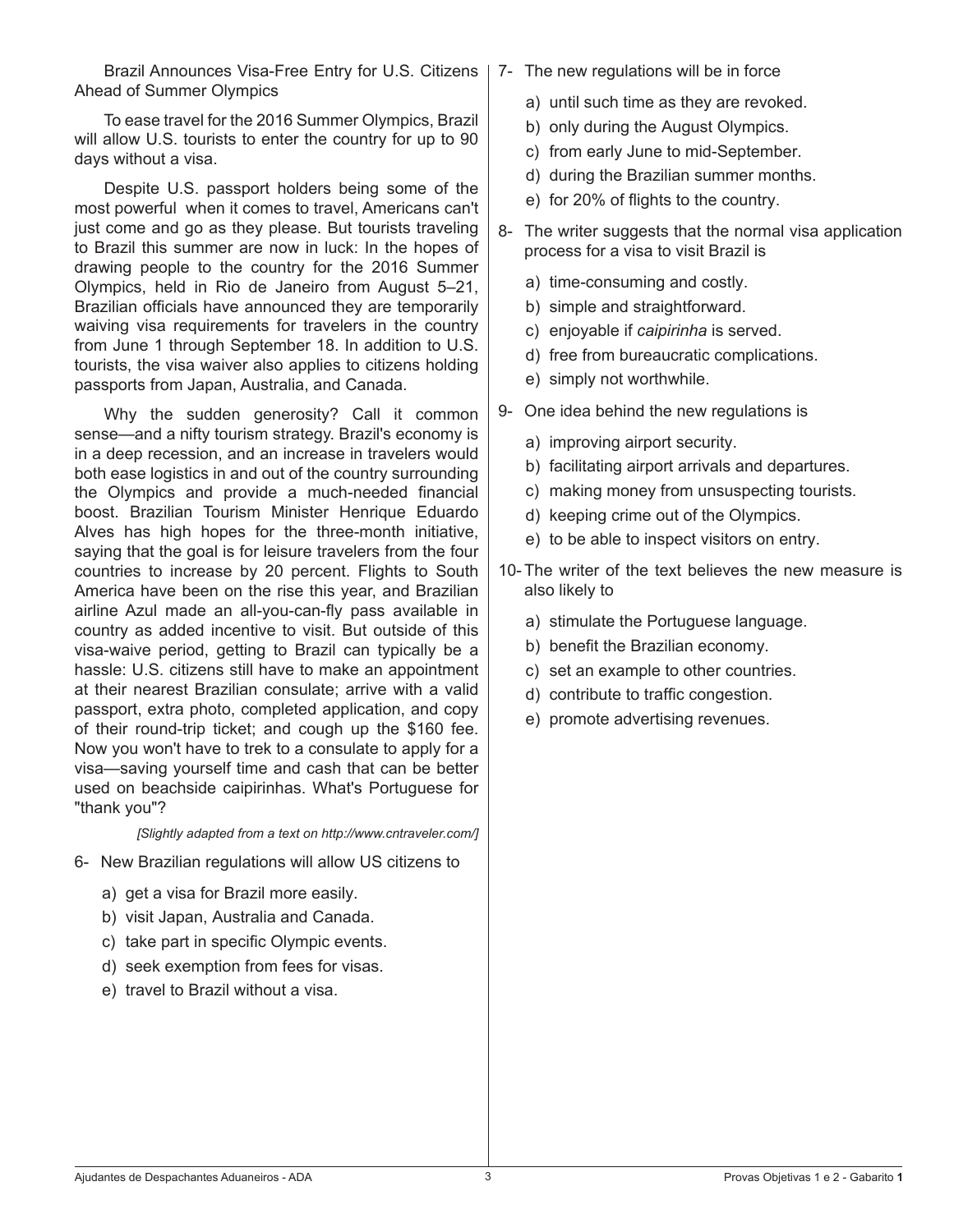Brazil Announces Visa-Free Entry for U.S. Citizens | 7- The new regulations will be in force Ahead of Summer Olympics

 To ease travel for the 2016 Summer Olympics, Brazil will allow U.S. tourists to enter the country for up to 90 days without a visa.

 Despite U.S. passport holders being some of the most powerful when it comes to travel, Americans can't just come and go as they please. But tourists traveling to Brazil this summer are now in luck: In the hopes of drawing people to the country for the 2016 Summer Olympics, held in Rio de Janeiro from August 5–21, Brazilian officials have announced they are temporarily waiving visa requirements for travelers in the country from June 1 through September 18. In addition to U.S. tourists, the visa waiver also applies to citizens holding passports from Japan, Australia, and Canada.

 Why the sudden generosity? Call it common sense—and a nifty tourism strategy. Brazil's economy is in a deep recession, and an increase in travelers would both ease logistics in and out of the country surrounding the Olympics and provide a much-needed financial boost. Brazilian Tourism Minister Henrique Eduardo Alves has high hopes for the three-month initiative, saying that the goal is for leisure travelers from the four countries to increase by 20 percent. Flights to South America have been on the rise this year, and Brazilian airline Azul made an all-you-can-fly pass available in country as added incentive to visit. But outside of this visa-waive period, getting to Brazil can typically be a hassle: U.S. citizens still have to make an appointment at their nearest Brazilian consulate; arrive with a valid passport, extra photo, completed application, and copy of their round-trip ticket; and cough up the \$160 fee. Now you won't have to trek to a consulate to apply for a visa—saving yourself time and cash that can be better used on beachside caipirinhas. What's Portuguese for "thank you"?

*[Slightly adapted from a text on http://www.cntraveler.com/]*

- 6- New Brazilian regulations will allow US citizens to
	- a) get a visa for Brazil more easily.
	- b) visit Japan, Australia and Canada.
	- c) take part in specific Olympic events.
	- d) seek exemption from fees for visas.
	- e) travel to Brazil without a visa.
- - a) until such time as they are revoked.
	- b) only during the August Olympics.
	- c) from early June to mid-September.
	- d) during the Brazilian summer months.
	- e) for 20% of flights to the country.
- 8- The writer suggests that the normal visa application process for a visa to visit Brazil is
	- a) time-consuming and costly.
	- b) simple and straightforward.
	- c) enjoyable if *caipirinha* is served.
	- d) free from bureaucratic complications.
	- e) simply not worthwhile.
- 9- One idea behind the new regulations is
	- a) improving airport security.
	- b) facilitating airport arrivals and departures.
	- c) making money from unsuspecting tourists.
	- d) keeping crime out of the Olympics.
	- e) to be able to inspect visitors on entry.
- 10- The writer of the text believes the new measure is also likely to
	- a) stimulate the Portuguese language.
	- b) benefit the Brazilian economy.
	- c) set an example to other countries.
	- d) contribute to traffic congestion.
	- e) promote advertising revenues.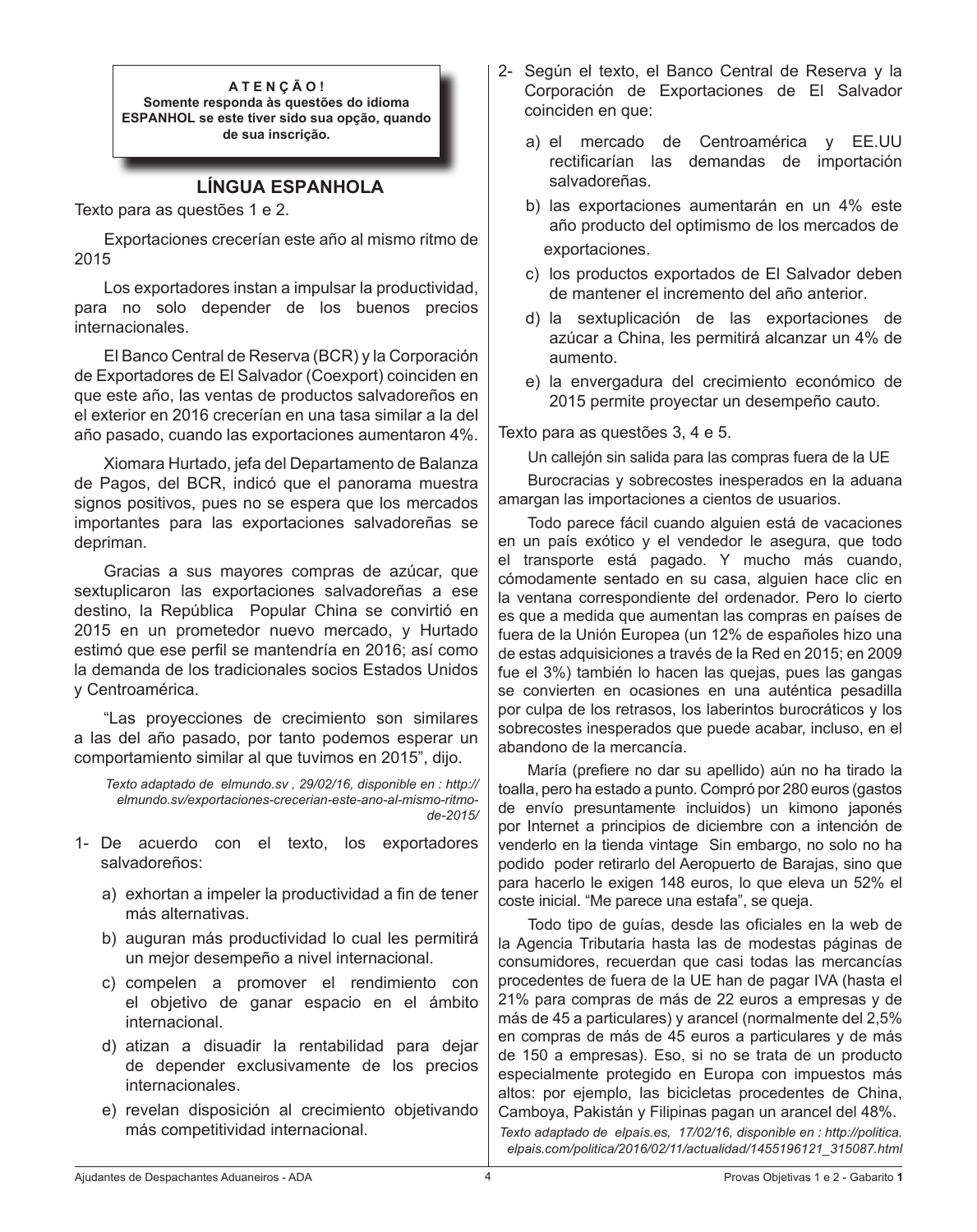**A T E N Ç Ã O ! Somente responda às questões do idioma ESPANHOL se este tiver sido sua opção, quando de sua inscrição.**

#### **LÍNGUA ESPANHOLA**

Texto para as questões 1 e 2.

 Exportaciones crecerían este año al mismo ritmo de 2015

 Los exportadores instan a impulsar la productividad, para no solo depender de los buenos precios internacionales.

 El Banco Central de Reserva (BCR) y la Corporación de Exportadores de El Salvador (Coexport) coinciden en que este año, las ventas de productos salvadoreños en el exterior en 2016 crecerían en una tasa similar a la del año pasado, cuando las exportaciones aumentaron 4%.

 Xiomara Hurtado, jefa del Departamento de Balanza de Pagos, del BCR, indicó que el panorama muestra signos positivos, pues no se espera que los mercados importantes para las exportaciones salvadoreñas se depriman.

 Gracias a sus mayores compras de azúcar, que sextuplicaron las exportaciones salvadoreñas a ese destino, la República Popular China se convirtió en 2015 en un prometedor nuevo mercado, y Hurtado estimó que ese perfil se mantendría en 2016; así como la demanda de los tradicionales socios Estados Unidos y Centroamérica.

 "Las proyecciones de crecimiento son similares a las del año pasado, por tanto podemos esperar un comportamiento similar al que tuvimos en 2015", dijo.

*Texto adaptado de elmundo.sv , 29/02/16, disponible en : http:// elmundo.sv/exportaciones-crecerian-este-ano-al-mismo-ritmode-2015/*

- 1- De acuerdo con el texto, los exportadores salvadoreños:
	- a) exhortan a impeler la productividad a fin de tener más alternativas.
	- b) auguran más productividad lo cual les permitirá un mejor desempeño a nivel internacional.
	- c) compelen a promover el rendimiento con el objetivo de ganar espacio en el ámbito internacional.
	- d) atizan a disuadir la rentabilidad para dejar de depender exclusivamente de los precios internacionales.
	- e) revelan disposición al crecimiento objetivando más competitividad internacional.
- 2- Según el texto, el Banco Central de Reserva y la Corporación de Exportaciones de El Salvador coinciden en que:
	- a) el mercado de Centroamérica y EE.UU rectificarían las demandas de importación salvadoreñas.
	- b) las exportaciones aumentarán en un 4% este año producto del optimismo de los mercados de exportaciones.
	- c) los productos exportados de El Salvador deben de mantener el incremento del año anterior.
	- d) la sextuplicación de las exportaciones de azúcar a China, les permitirá alcanzar un 4% de aumento.
	- e) la envergadura del crecimiento económico de 2015 permite proyectar un desempeño cauto.

Texto para as questões 3, 4 e 5.

Un callejón sin salida para las compras fuera de la UE

 Burocracias y sobrecostes inesperados en la aduana amargan las importaciones a cientos de usuarios.

 Todo parece fácil cuando alguien está de vacaciones en un país exótico y el vendedor le asegura, que todo el transporte está pagado. Y mucho más cuando, cómodamente sentado en su casa, alguien hace clic en la ventana correspondiente del ordenador. Pero lo cierto es que a medida que aumentan las compras en países de fuera de la Unión Europea (un 12% de españoles hizo una de estas adquisiciones a través de la Red en 2015; en 2009 fue el 3%) también lo hacen las quejas, pues las gangas se convierten en ocasiones en una auténtica pesadilla por culpa de los retrasos, los laberintos burocráticos y los sobrecostes inesperados que puede acabar, incluso, en el abandono de la mercancía.

 María (prefiere no dar su apellido) aún no ha tirado la toalla, pero ha estado a punto. Compró por 280 euros (gastos de envío presuntamente incluidos) un kimono japonés por Internet a principios de diciembre con a intención de venderlo en la tienda vintage Sin embargo, no solo no ha podido poder retirarlo del Aeropuerto de Barajas, sino que para hacerlo le exigen 148 euros, lo que eleva un 52% el coste inicial. "Me parece una estafa", se queja.

 Todo tipo de guías, desde las oficiales en la web de la Agencia Tributaria hasta las de modestas páginas de consumidores, recuerdan que casi todas las mercancías procedentes de fuera de la UE han de pagar IVA (hasta el 21% para compras de más de 22 euros a empresas y de más de 45 a particulares) y arancel (normalmente del 2,5% en compras de más de 45 euros a particulares y de más de 150 a empresas). Eso, si no se trata de un producto especialmente protegido en Europa con impuestos más altos: por ejemplo, las bicicletas procedentes de China, Camboya, Pakistán y Filipinas pagan un arancel del 48%.

*Texto adaptado de elpaís.es, 17/02/16, disponible en : http://politica. elpais.com/politica/2016/02/11/actualidad/1455196121\_315087.html*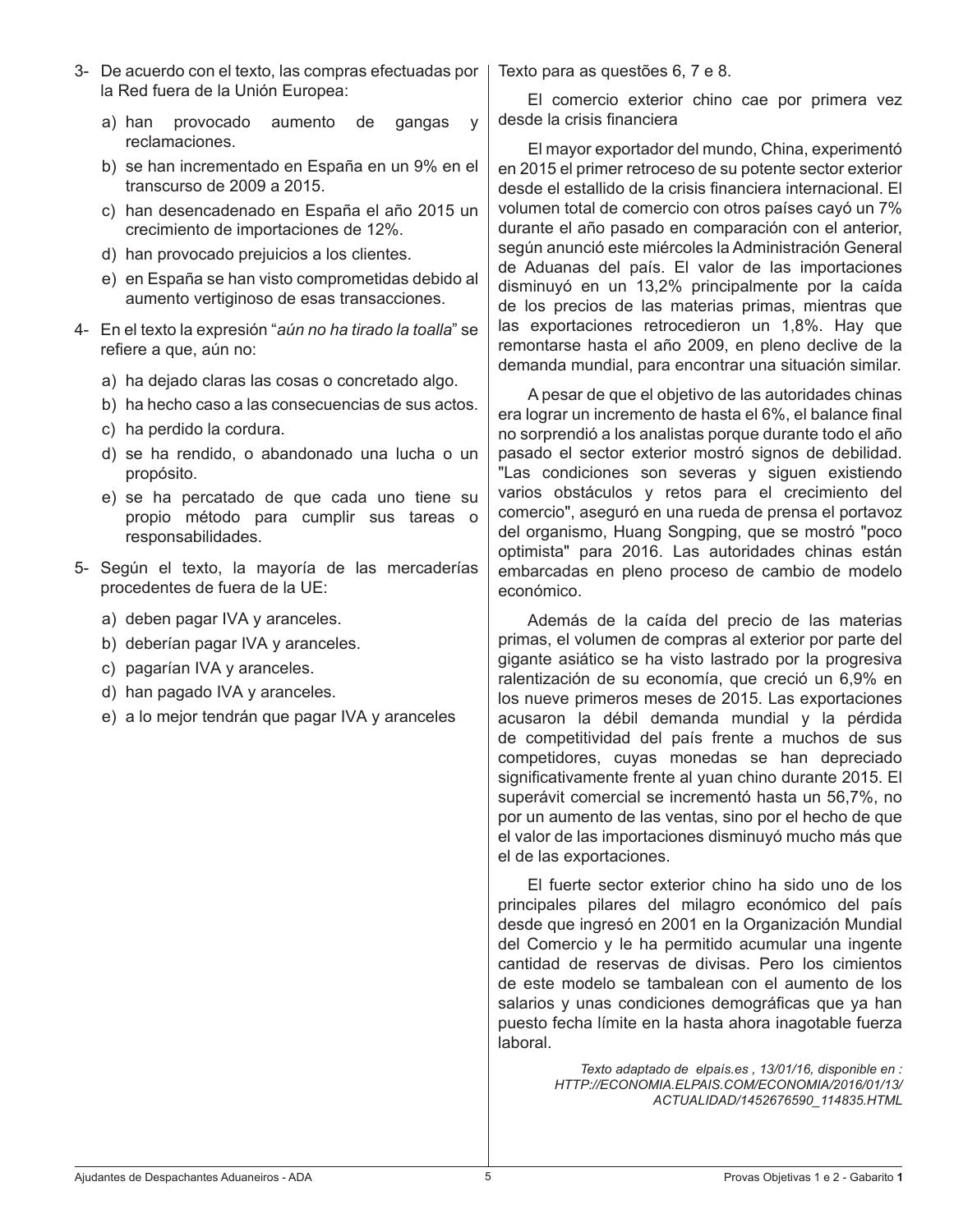- 3- De acuerdo con el texto, las compras efectuadas por la Red fuera de la Unión Europea:
	- a) han provocado aumento de gangas y reclamaciones.
	- b) se han incrementado en España en un 9% en el transcurso de 2009 a 2015.
	- c) han desencadenado en España el año 2015 un crecimiento de importaciones de 12%.
	- d) han provocado prejuicios a los clientes.
	- e) en España se han visto comprometidas debido al aumento vertiginoso de esas transacciones.
- 4- En el texto la expresión "*aún no ha tirado la toalla*" se refiere a que, aún no:
	- a) ha dejado claras las cosas o concretado algo.
	- b) ha hecho caso a las consecuencias de sus actos.
	- c) ha perdido la cordura.
	- d) se ha rendido, o abandonado una lucha o un propósito.
	- e) se ha percatado de que cada uno tiene su propio método para cumplir sus tareas o responsabilidades.
- 5- Según el texto, la mayoría de las mercaderías procedentes de fuera de la UE:
	- a) deben pagar IVA y aranceles.
	- b) deberían pagar IVA y aranceles.
	- c) pagarían IVA y aranceles.
	- d) han pagado IVA y aranceles.
	- e) a lo mejor tendrán que pagar IVA y aranceles

Texto para as questões 6, 7 e 8.

 El comercio exterior chino cae por primera vez desde la crisis financiera

 El mayor exportador del mundo, China, experimentó en 2015 el primer retroceso de su potente sector exterior desde el estallido de la crisis financiera internacional. El volumen total de comercio con otros países cayó un 7% durante el año pasado en comparación con el anterior, según anunció este miércoles la Administración General de Aduanas del país. El valor de las importaciones disminuyó en un 13,2% principalmente por la caída de los precios de las materias primas, mientras que las exportaciones retrocedieron un 1,8%. Hay que remontarse hasta el año 2009, en pleno declive de la demanda mundial, para encontrar una situación similar.

 A pesar de que el objetivo de las autoridades chinas era lograr un incremento de hasta el 6%, el balance final no sorprendió a los analistas porque durante todo el año pasado el sector exterior mostró signos de debilidad. "Las condiciones son severas y siguen existiendo varios obstáculos y retos para el crecimiento del comercio", aseguró en una rueda de prensa el portavoz del organismo, Huang Songping, que se mostró "poco optimista" para 2016. Las autoridades chinas están embarcadas en pleno proceso de cambio de modelo económico.

 Además de la caída del precio de las materias primas, el volumen de compras al exterior por parte del gigante asiático se ha visto lastrado por la progresiva ralentización de su economía, que creció un 6,9% en los nueve primeros meses de 2015. Las exportaciones acusaron la débil demanda mundial y la pérdida de competitividad del país frente a muchos de sus competidores, cuyas monedas se han depreciado significativamente frente al yuan chino durante 2015. El superávit comercial se incrementó hasta un 56,7%, no por un aumento de las ventas, sino por el hecho de que el valor de las importaciones disminuyó mucho más que el de las exportaciones.

 El fuerte sector exterior chino ha sido uno de los principales pilares del milagro económico del país desde que ingresó en 2001 en la Organización Mundial del Comercio y le ha permitido acumular una ingente cantidad de reservas de divisas. Pero los cimientos de este modelo se tambalean con el aumento de los salarios y unas condiciones demográficas que ya han puesto fecha límite en la hasta ahora inagotable fuerza laboral.

> *Texto adaptado de elpaís.es , 13/01/16, disponible en : HTTP://ECONOMIA.ELPAIS.COM/ECONOMIA/2016/01/13/ ACTUALIDAD/1452676590\_114835.HTML*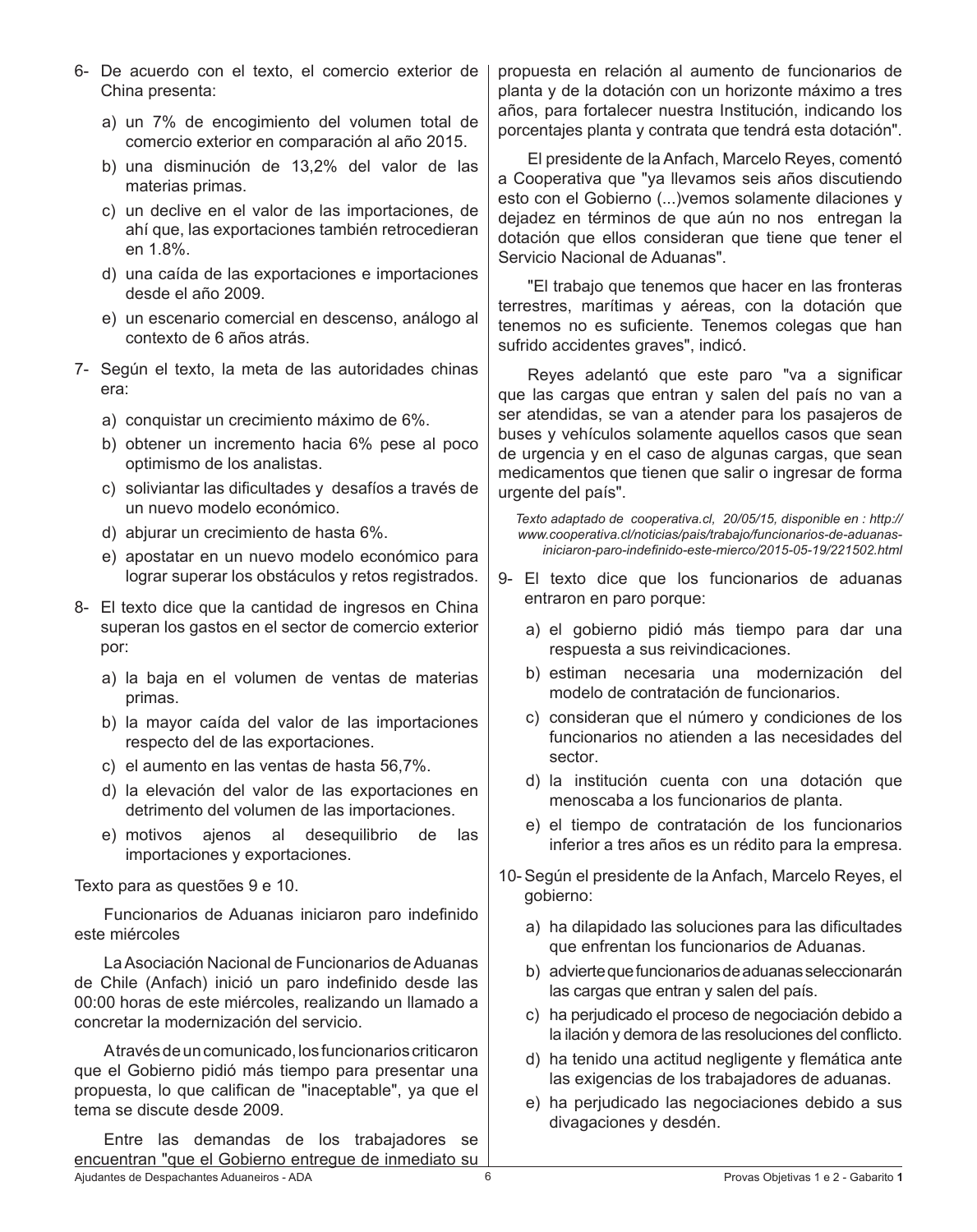- 6- De acuerdo con el texto, el comercio exterior de China presenta:
	- a) un 7% de encogimiento del volumen total de comercio exterior en comparación al año 2015.
	- b) una disminución de 13,2% del valor de las materias primas.
	- c) un declive en el valor de las importaciones, de ahí que, las exportaciones también retrocedieran en 1.8%.
	- d) una caída de las exportaciones e importaciones desde el año 2009.
	- e) un escenario comercial en descenso, análogo al contexto de 6 años atrás.
- 7- Según el texto, la meta de las autoridades chinas era:
	- a) conquistar un crecimiento máximo de 6%.
	- b) obtener un incremento hacia 6% pese al poco optimismo de los analistas.
	- c) soliviantar las dificultades y desafíos a través de un nuevo modelo económico.
	- d) abjurar un crecimiento de hasta 6%.
	- e) apostatar en un nuevo modelo económico para lograr superar los obstáculos y retos registrados.
- 8- El texto dice que la cantidad de ingresos en China superan los gastos en el sector de comercio exterior por:
	- a) la baja en el volumen de ventas de materias primas.
	- b) la mayor caída del valor de las importaciones respecto del de las exportaciones.
	- c) el aumento en las ventas de hasta 56,7%.
	- d) la elevación del valor de las exportaciones en detrimento del volumen de las importaciones.
	- e) motivos ajenos al desequilibrio de las importaciones y exportaciones.

Texto para as questões 9 e 10.

 Funcionarios de Aduanas iniciaron paro indefinido este miércoles

 LaAsociación Nacional de Funcionarios deAduanas de Chile (Anfach) inició un paro indefinido desde las 00:00 horas de este miércoles, realizando un llamado a concretar la modernización del servicio.

Através de un comunicado, los funcionarios criticaron que el Gobierno pidió más tiempo para presentar una propuesta, lo que califican de "inaceptable", ya que el tema se discute desde 2009.

Ajudantes de Despachantes Aduaneiros - ADA 6 Provas Objetivas 1 e 2 - Gabarito **1** Entre las demandas de los trabajadores se encuentran "que el Gobierno entregue de inmediato su

propuesta en relación al aumento de funcionarios de planta y de la dotación con un horizonte máximo a tres años, para fortalecer nuestra Institución, indicando los porcentajes planta y contrata que tendrá esta dotación".

 El presidente de laAnfach, Marcelo Reyes, comentó a Cooperativa que "ya llevamos seis años discutiendo esto con el Gobierno (...)vemos solamente dilaciones y dejadez en términos de que aún no nos entregan la dotación que ellos consideran que tiene que tener el Servicio Nacional de Aduanas".

 "El trabajo que tenemos que hacer en las fronteras terrestres, marítimas y aéreas, con la dotación que tenemos no es suficiente. Tenemos colegas que han sufrido accidentes graves", indicó.

 Reyes adelantó que este paro "va a significar que las cargas que entran y salen del país no van a ser atendidas, se van a atender para los pasajeros de buses y vehículos solamente aquellos casos que sean de urgencia y en el caso de algunas cargas, que sean medicamentos que tienen que salir o ingresar de forma urgente del país".

*Texto adaptado de cooperativa.cl, 20/05/15, disponible en : http:// www.cooperativa.cl/noticias/pais/trabajo/funcionarios-de-aduanasiniciaron-paro-indefinido-este-mierco/2015-05-19/221502.html*

- 9- El texto dice que los funcionarios de aduanas entraron en paro porque:
	- a) el gobierno pidió más tiempo para dar una respuesta a sus reivindicaciones.
	- b) estiman necesaria una modernización del modelo de contratación de funcionarios.
	- c) consideran que el número y condiciones de los funcionarios no atienden a las necesidades del sector.
	- d) la institución cuenta con una dotación que menoscaba a los funcionarios de planta.
	- e) el tiempo de contratación de los funcionarios inferior a tres años es un rédito para la empresa.
- 10- Según el presidente de la Anfach, Marcelo Reyes, el gobierno:
	- a) ha dilapidado las soluciones para las dificultades que enfrentan los funcionarios de Aduanas.
	- b) advierte que funcionarios de aduanas seleccionarán las cargas que entran y salen del país.
	- c) ha perjudicado el proceso de negociación debido a la ilación y demora de las resoluciones del conflicto.
	- d) ha tenido una actitud negligente y flemática ante las exigencias de los trabajadores de aduanas.
	- e) ha perjudicado las negociaciones debido a sus divagaciones y desdén.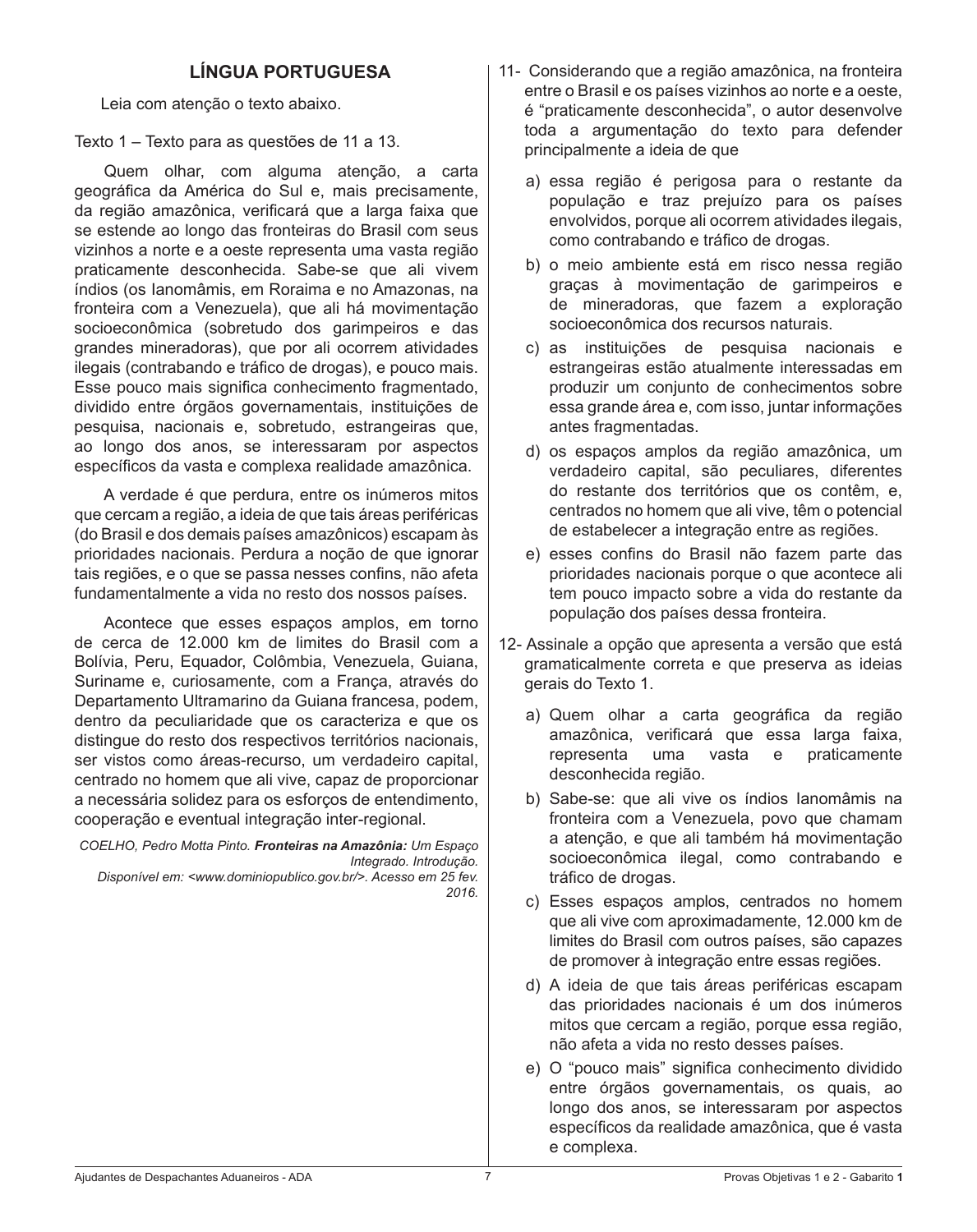# **LÍNGUA PORTUGUESA**

 Leia com atenção o texto abaixo.

Texto 1 – Texto para as questões de 11 a 13.

 Quem olhar, com alguma atenção, a carta geográfica da América do Sul e, mais precisamente, da região amazônica, verificará que a larga faixa que se estende ao longo das fronteiras do Brasil com seus vizinhos a norte e a oeste representa uma vasta região praticamente desconhecida. Sabe-se que ali vivem índios (os Ianomâmis, em Roraima e no Amazonas, na fronteira com a Venezuela), que ali há movimentação socioeconômica (sobretudo dos garimpeiros e das grandes mineradoras), que por ali ocorrem atividades ilegais (contrabando e tráfico de drogas), e pouco mais. Esse pouco mais significa conhecimento fragmentado, dividido entre órgãos governamentais, instituições de pesquisa, nacionais e, sobretudo, estrangeiras que, ao longo dos anos, se interessaram por aspectos específicos da vasta e complexa realidade amazônica.

 A verdade é que perdura, entre os inúmeros mitos que cercam a região, a ideia de que tais áreas periféricas (do Brasil e dos demais países amazônicos) escapam às prioridades nacionais. Perdura a noção de que ignorar tais regiões, e o que se passa nesses confins, não afeta fundamentalmente a vida no resto dos nossos países.

 Acontece que esses espaços amplos, em torno de cerca de 12.000 km de limites do Brasil com a Bolívia, Peru, Equador, Colômbia, Venezuela, Guiana, Suriname e, curiosamente, com a França, através do Departamento Ultramarino da Guiana francesa, podem, dentro da peculiaridade que os caracteriza e que os distingue do resto dos respectivos territórios nacionais, ser vistos como áreas-recurso, um verdadeiro capital, centrado no homem que ali vive, capaz de proporcionar a necessária solidez para os esforços de entendimento, cooperação e eventual integração inter-regional.

*COELHO, Pedro Motta Pinto. Fronteiras na Amazônia: Um Espaço Integrado. Introdução. Disponível em: <www.dominiopublico.gov.br/>. Acesso em 25 fev.* 

*2016.*

- 11- Considerando que a região amazônica, na fronteira entre o Brasil e os países vizinhos ao norte e a oeste, é "praticamente desconhecida", o autor desenvolve toda a argumentação do texto para defender principalmente a ideia de que
	- a) essa região é perigosa para o restante da população e traz prejuízo para os países envolvidos, porque ali ocorrem atividades ilegais, como contrabando e tráfico de drogas.
	- b) o meio ambiente está em risco nessa região graças à movimentação de garimpeiros e de mineradoras, que fazem a exploração socioeconômica dos recursos naturais.
	- c) as instituições de pesquisa nacionais e estrangeiras estão atualmente interessadas em produzir um conjunto de conhecimentos sobre essa grande área e, com isso, juntar informações antes fragmentadas.
	- d) os espaços amplos da região amazônica, um verdadeiro capital, são peculiares, diferentes do restante dos territórios que os contêm, e, centrados no homem que ali vive, têm o potencial de estabelecer a integração entre as regiões.
	- e) esses confins do Brasil não fazem parte das prioridades nacionais porque o que acontece ali tem pouco impacto sobre a vida do restante da população dos países dessa fronteira.
- 12- Assinale a opção que apresenta a versão que está gramaticalmente correta e que preserva as ideias gerais do Texto 1.
	- a) Quem olhar a carta geográfica da região amazônica, verificará que essa larga faixa, representa uma vasta e praticamente desconhecida região.
	- b) Sabe-se: que ali vive os índios lanomâmis na fronteira com a Venezuela, povo que chamam a atenção, e que ali também há movimentação socioeconômica ilegal, como contrabando e tráfico de drogas.
	- c) Esses espaços amplos, centrados no homem que ali vive com aproximadamente, 12.000 km de limites do Brasil com outros países, são capazes de promover à integração entre essas regiões.
	- d) A ideia de que tais áreas periféricas escapam das prioridades nacionais é um dos inúmeros mitos que cercam a região, porque essa região, não afeta a vida no resto desses países.
	- e) O "pouco mais" significa conhecimento dividido entre órgãos governamentais, os quais, ao longo dos anos, se interessaram por aspectos específicos da realidade amazônica, que é vasta e complexa.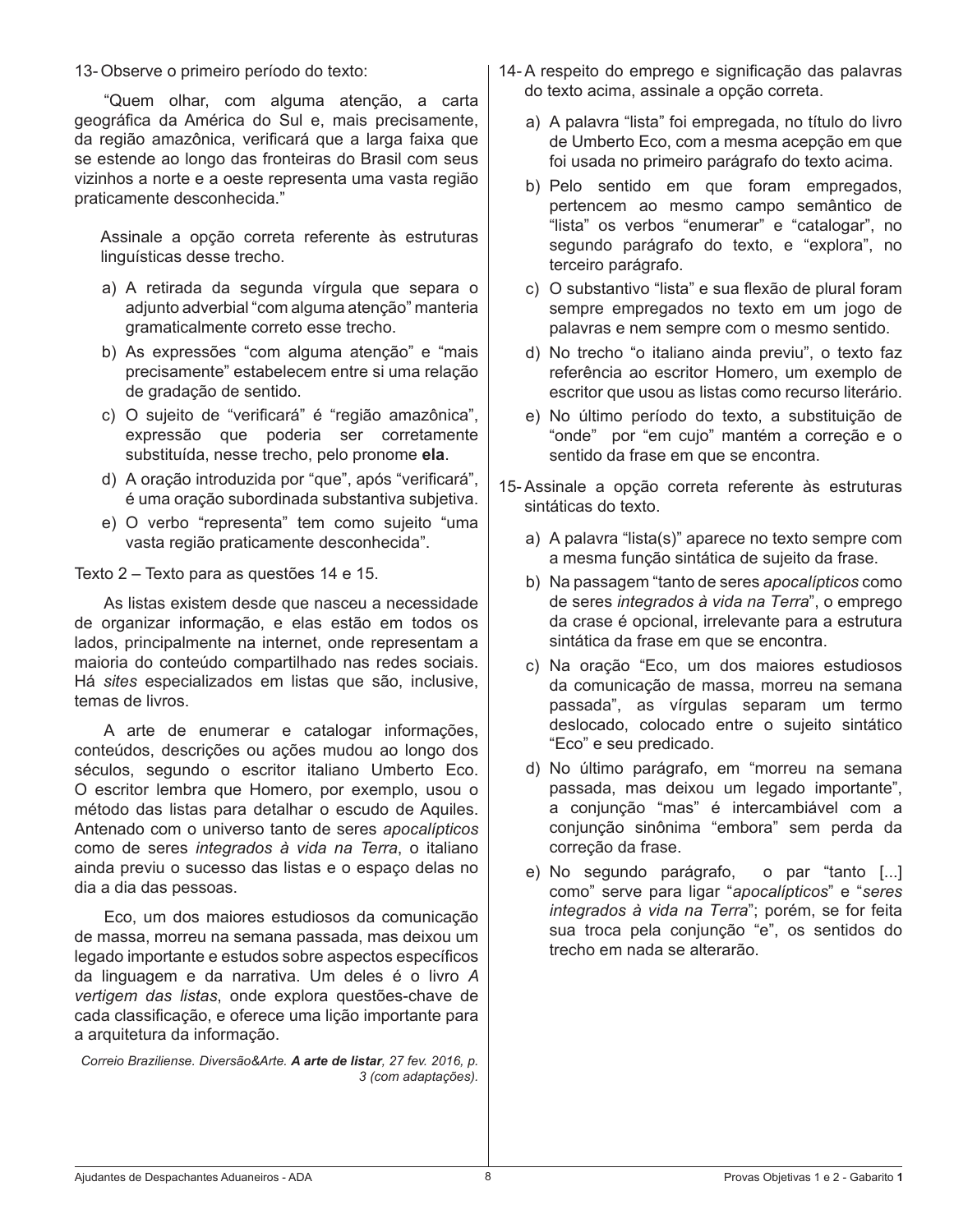13- Observe o primeiro período do texto:

 "Quem olhar, com alguma atenção, a carta geográfica da América do Sul e, mais precisamente, da região amazônica, verificará que a larga faixa que se estende ao longo das fronteiras do Brasil com seus vizinhos a norte e a oeste representa uma vasta região praticamente desconhecida."

 Assinale a opção correta referente às estruturas linguísticas desse trecho.

- a) A retirada da segunda vírgula que separa o adjunto adverbial "com alguma atenção" manteria gramaticalmente correto esse trecho.
- b) As expressões "com alguma atenção" e "mais precisamente" estabelecem entre si uma relação de gradação de sentido.
- c) O sujeito de "verificará" é "região amazônica", expressão que poderia ser corretamente substituída, nesse trecho, pelo pronome **ela**.
- d) A oração introduzida por "que", após "verificará", é uma oração subordinada substantiva subjetiva.
- e) O verbo "representa" tem como sujeito "uma vasta região praticamente desconhecida".

Texto 2 – Texto para as questões 14 e 15.

 As listas existem desde que nasceu a necessidade de organizar informação, e elas estão em todos os lados, principalmente na internet, onde representam a maioria do conteúdo compartilhado nas redes sociais. Há *sites* especializados em listas que são, inclusive, temas de livros.

 A arte de enumerar e catalogar informações, conteúdos, descrições ou ações mudou ao longo dos séculos, segundo o escritor italiano Umberto Eco. O escritor lembra que Homero, por exemplo, usou o método das listas para detalhar o escudo de Aquiles. Antenado com o universo tanto de seres *apocalípticos*  como de seres *integrados à vida na Terra*, o italiano ainda previu o sucesso das listas e o espaço delas no dia a dia das pessoas.

 Eco, um dos maiores estudiosos da comunicação de massa, morreu na semana passada, mas deixou um legado importante e estudos sobre aspectos específicos da linguagem e da narrativa. Um deles é o livro *A vertigem das listas*, onde explora questões-chave de cada classificação, e oferece uma lição importante para a arquitetura da informação.

*Correio Braziliense. Diversão&Arte. A arte de listar, 27 fev. 2016, p. 3 (com adaptações).*

- 14- A respeito do emprego e significação das palavras do texto acima, assinale a opção correta.
	- a) A palavra "lista" foi empregada, no título do livro de Umberto Eco, com a mesma acepção em que foi usada no primeiro parágrafo do texto acima.
	- b) Pelo sentido em que foram empregados, pertencem ao mesmo campo semântico de "lista" os verbos "enumerar" e "catalogar", no segundo parágrafo do texto, e "explora", no terceiro parágrafo.
	- c) O substantivo "lista" e sua flexão de plural foram sempre empregados no texto em um jogo de palavras e nem sempre com o mesmo sentido.
	- d) No trecho "o italiano ainda previu", o texto faz referência ao escritor Homero, um exemplo de escritor que usou as listas como recurso literário.
	- e) No último período do texto, a substituição de "onde" por "em cujo" mantém a correção e o sentido da frase em que se encontra.
- 15- Assinale a opção correta referente às estruturas sintáticas do texto.
	- a) A palavra "lista(s)" aparece no texto sempre com a mesma função sintática de sujeito da frase.
	- b) Na passagem "tanto de seres *apocalípticos* como de seres *integrados à vida na Terra*", o emprego da crase é opcional, irrelevante para a estrutura sintática da frase em que se encontra.
	- c) Na oração "Eco, um dos maiores estudiosos da comunicação de massa, morreu na semana passada", as vírgulas separam um termo deslocado, colocado entre o sujeito sintático "Eco" e seu predicado.
	- d) No último parágrafo, em "morreu na semana passada, mas deixou um legado importante", a conjunção "mas" é intercambiável com a conjunção sinônima "embora" sem perda da correção da frase.
	- e) No segundo parágrafo, o par "tanto [...] como" serve para ligar "*apocalípticos*" e "*seres integrados à vida na Terra*"; porém, se for feita sua troca pela conjunção "e", os sentidos do trecho em nada se alterarão.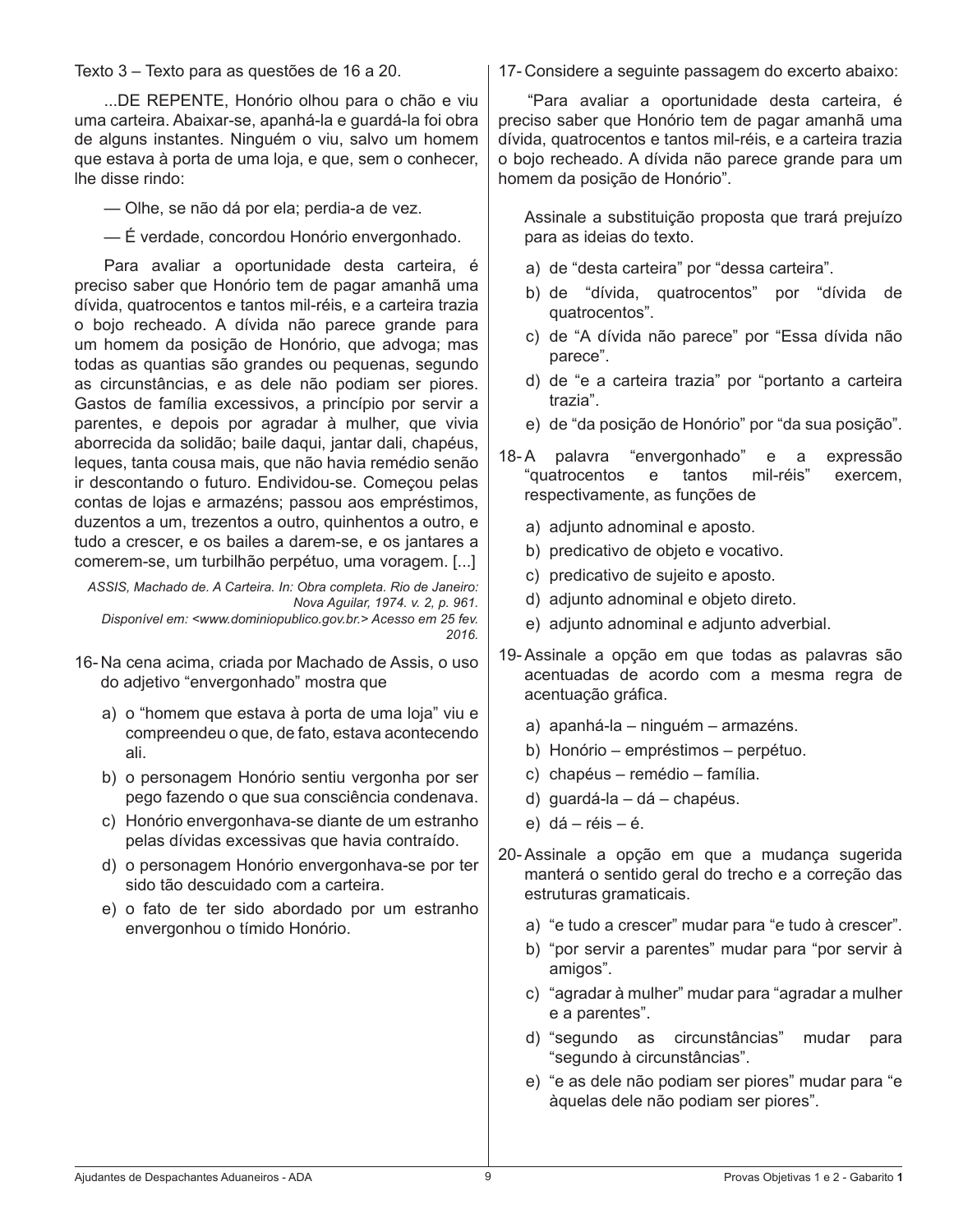Texto 3 – Texto para as questões de 16 a 20.

 ...DE REPENTE, Honório olhou para o chão e viu uma carteira. Abaixar-se, apanhá-la e guardá-la foi obra de alguns instantes. Ninguém o viu, salvo um homem que estava à porta de uma loja, e que, sem o conhecer, lhe disse rindo:

 — Olhe, se não dá por ela; perdia-a de vez.

 — É verdade, concordou Honório envergonhado.

 Para avaliar a oportunidade desta carteira, é preciso saber que Honório tem de pagar amanhã uma dívida, quatrocentos e tantos mil-réis, e a carteira trazia o bojo recheado. A dívida não parece grande para um homem da posição de Honório, que advoga; mas todas as quantias são grandes ou pequenas, segundo as circunstâncias, e as dele não podiam ser piores. Gastos de família excessivos, a princípio por servir a parentes, e depois por agradar à mulher, que vivia aborrecida da solidão; baile daqui, jantar dali, chapéus, leques, tanta cousa mais, que não havia remédio senão ir descontando o futuro. Endividou-se. Começou pelas contas de lojas e armazéns; passou aos empréstimos, duzentos a um, trezentos a outro, quinhentos a outro, e tudo a crescer, e os bailes a darem-se, e os jantares a comerem-se, um turbilhão perpétuo, uma voragem. [...]

*ASSIS, Machado de. A Carteira. In: Obra completa. Rio de Janeiro: Nova Aguilar, 1974. v. 2, p. 961. Disponível em: <www.dominiopublico.gov.br.> Acesso em 25 fev. 2016.*

- 16- Na cena acima, criada por Machado de Assis, o uso do adjetivo "envergonhado" mostra que
	- a) o "homem que estava à porta de uma loja" viu e compreendeu o que, de fato, estava acontecendo ali.
	- b) o personagem Honório sentiu vergonha por ser pego fazendo o que sua consciência condenava.
	- c) Honório envergonhava-se diante de um estranho pelas dívidas excessivas que havia contraído.
	- d) o personagem Honório envergonhava-se por ter sido tão descuidado com a carteira.
	- e) o fato de ter sido abordado por um estranho envergonhou o tímido Honório.

17- Considere a seguinte passagem do excerto abaixo:

 "Para avaliar a oportunidade desta carteira, é preciso saber que Honório tem de pagar amanhã uma dívida, quatrocentos e tantos mil-réis, e a carteira trazia o bojo recheado. A dívida não parece grande para um homem da posição de Honório".

 Assinale a substituição proposta que trará prejuízo para as ideias do texto.

- a) de "desta carteira" por "dessa carteira".
- b) de "dívida, quatrocentos" por "dívida de quatrocentos".
- c) de "A dívida não parece" por "Essa dívida não parece".
- d) de "e a carteira trazia" por "portanto a carteira trazia".
- e) de "da posição de Honório" por "da sua posição".
- 18-A palavra "envergonhado" e a expressão<br>"quatrocentos e tantos mil-réis" exercem. "quatrocentos e tantos mil-réis" exercem, respectivamente, as funções de
	- a) adjunto adnominal e aposto.
	- b) predicativo de objeto e vocativo.
	- c) predicativo de sujeito e aposto.
	- d) adjunto adnominal e objeto direto.
	- e) adjunto adnominal e adjunto adverbial.
- 19- Assinale a opção em que todas as palavras são acentuadas de acordo com a mesma regra de acentuação gráfica.
	- a) apanhá-la ninguém armazéns.
	- b) Honório empréstimos perpétuo.
	- c) chapéus remédio família.
	- d) guardá-la dá chapéus.
	- e)  $d\acute{a}$  réis é.
- 20- Assinale a opção em que a mudança sugerida manterá o sentido geral do trecho e a correção das estruturas gramaticais.
	- a) "e tudo a crescer" mudar para "e tudo à crescer".
	- b) "por servir a parentes" mudar para "por servir à amigos".
	- c) "agradar à mulher" mudar para "agradar a mulher e a parentes".
	- d) "segundo as circunstâncias" mudar para "segundo à circunstâncias".
	- e) "e as dele não podiam ser piores" mudar para "e àquelas dele não podiam ser piores".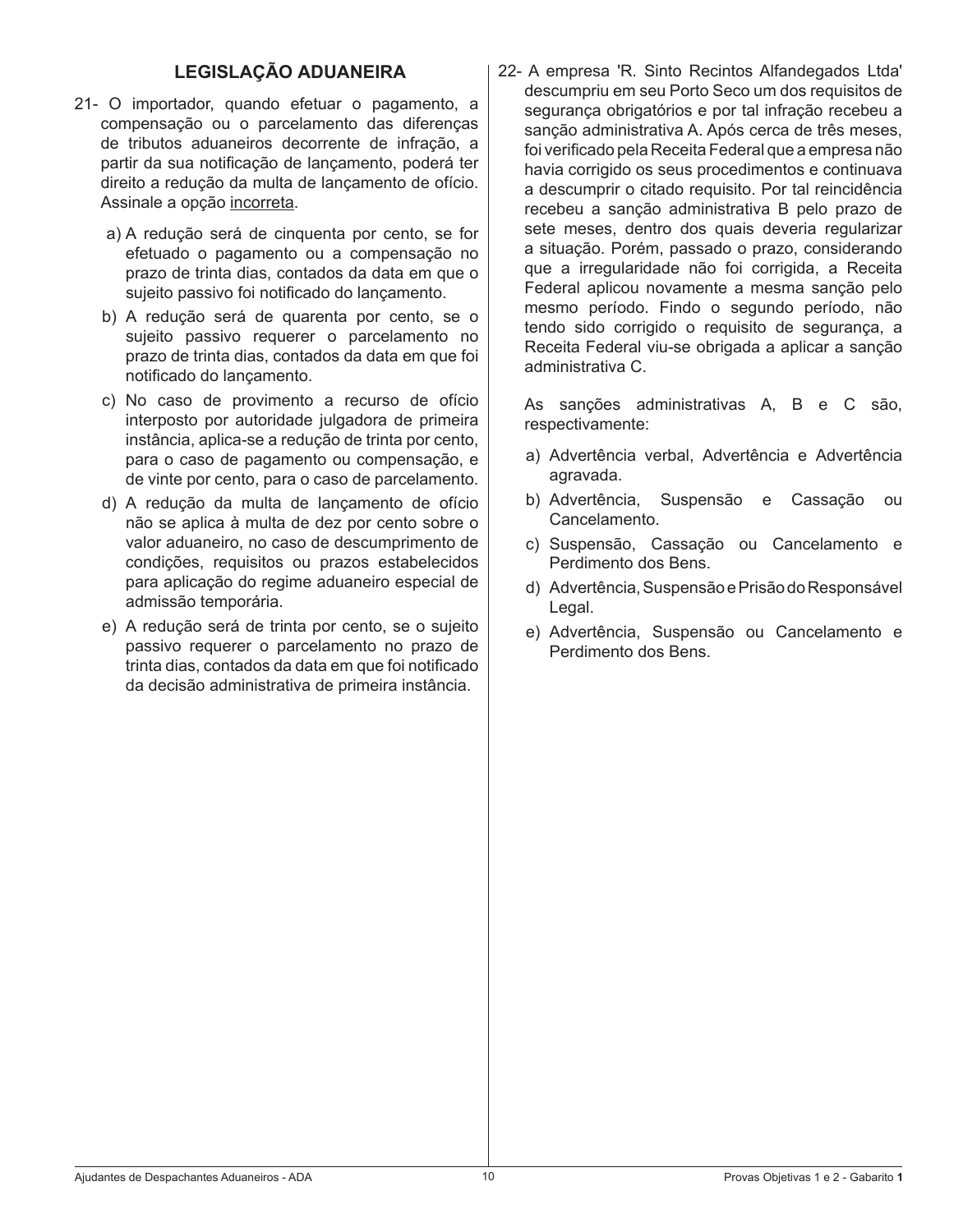## **LEGISLAÇÃO ADUANEIRA**

- 21- O importador, quando efetuar o pagamento, a compensação ou o parcelamento das diferenças de tributos aduaneiros decorrente de infração, a partir da sua notificação de lançamento, poderá ter direito a redução da multa de lançamento de ofício. Assinale a opção incorreta.
	- a) A redução será de cinquenta por cento, se for efetuado o pagamento ou a compensação no prazo de trinta dias, contados da data em que o sujeito passivo foi notificado do lançamento.
	- b) A redução será de quarenta por cento, se o sujeito passivo requerer o parcelamento no prazo de trinta dias, contados da data em que foi notificado do lançamento.
	- c) No caso de provimento a recurso de ofício interposto por autoridade julgadora de primeira instância, aplica-se a redução de trinta por cento, para o caso de pagamento ou compensação, e de vinte por cento, para o caso de parcelamento.
	- d) A redução da multa de lançamento de ofício não se aplica à multa de dez por cento sobre o valor aduaneiro, no caso de descumprimento de condições, requisitos ou prazos estabelecidos para aplicação do regime aduaneiro especial de admissão temporária.
	- e) A redução será de trinta por cento, se o sujeito passivo requerer o parcelamento no prazo de trinta dias, contados da data em que foi notificado da decisão administrativa de primeira instância.

22- A empresa 'R. Sinto Recintos Alfandegados Ltda' descumpriu em seu Porto Seco um dos requisitos de segurança obrigatórios e por tal infração recebeu a sanção administrativa A. Após cerca de três meses, foi verificado pela Receita Federal que a empresa não havia corrigido os seus procedimentos e continuava a descumprir o citado requisito. Por tal reincidência recebeu a sanção administrativa B pelo prazo de sete meses, dentro dos quais deveria regularizar a situação. Porém, passado o prazo, considerando que a irregularidade não foi corrigida, a Receita Federal aplicou novamente a mesma sanção pelo mesmo período. Findo o segundo período, não tendo sido corrigido o requisito de segurança, a Receita Federal viu-se obrigada a aplicar a sanção administrativa C.

 As sanções administrativas A, B e C são, respectivamente:

- a) Advertência verbal, Advertência e Advertência agravada.
- b) Advertência, Suspensão e Cassação ou Cancelamento.
- c) Suspensão, Cassação ou Cancelamento e Perdimento dos Bens.
- d) Advertência, Suspensão e Prisão do Responsável Legal.
- e) Advertência, Suspensão ou Cancelamento e Perdimento dos Bens.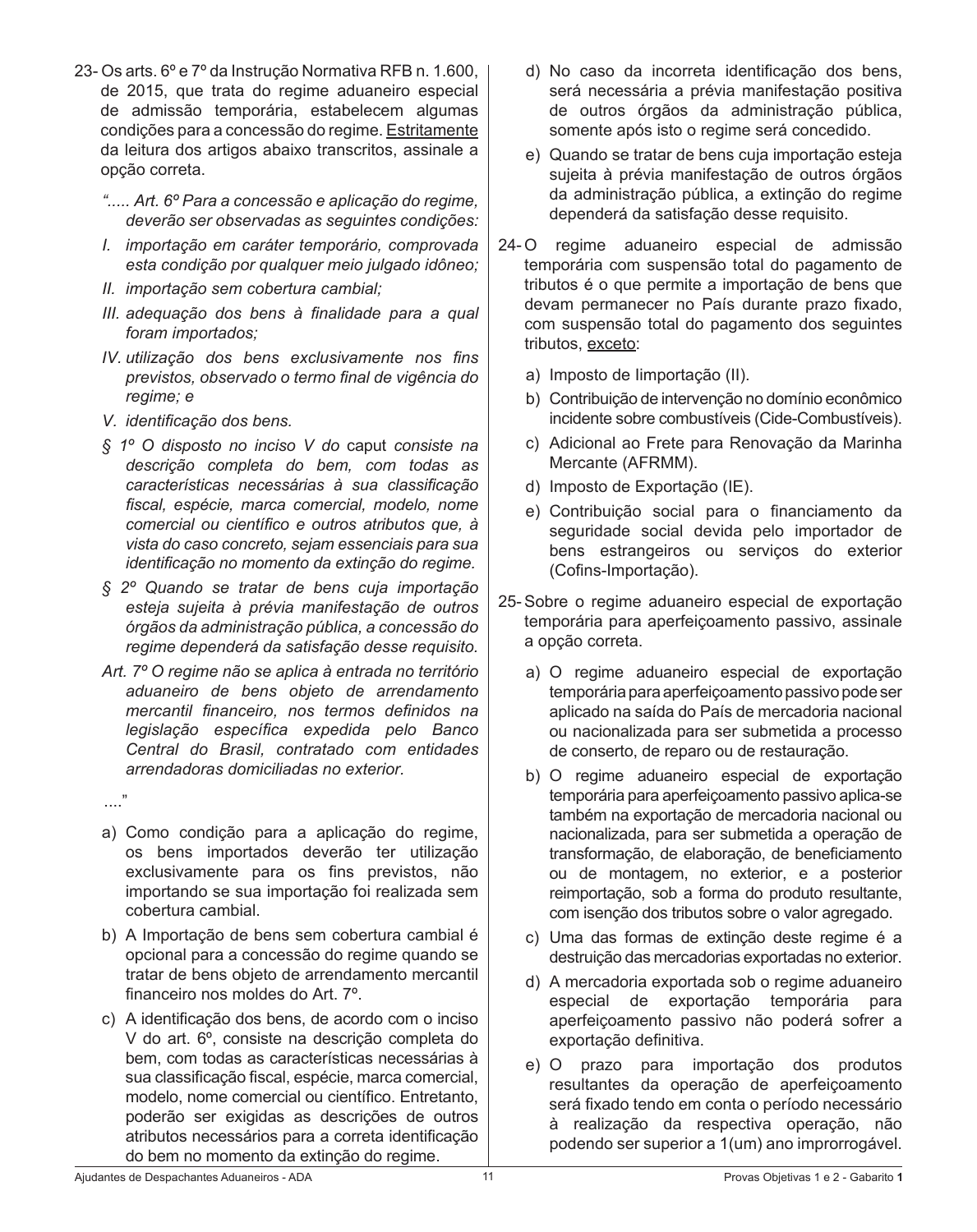- 23- Os arts. 6º e 7º da Instrução Normativa RFB n. 1.600, de 2015, que trata do regime aduaneiro especial de admissão temporária, estabelecem algumas condições para a concessão do regime. Estritamente da leitura dos artigos abaixo transcritos, assinale a opção correta.
	- *"..... Art. 6º Para a concessão e aplicação do regime, deverão ser observadas as seguintes condições:*
	- *I. importação em caráter temporário, comprovada esta condição por qualquer meio julgado idôneo;*
	- *II. importação sem cobertura cambial;*
	- *III. adequação dos bens à finalidade para a qual foram importados;*
	- *IV. utilização dos bens exclusivamente nos fins previstos, observado o termo final de vigência do regime; e*
	- *V. identificação dos bens.*
	- *§ 1º O disposto no inciso V do* caput *consiste na descrição completa do bem, com todas as características necessárias à sua classificação fiscal, espécie, marca comercial, modelo, nome comercial ou científico e outros atributos que, à vista do caso concreto, sejam essenciais para sua identificação no momento da extinção do regime.*
	- *§ 2º Quando se tratar de bens cuja importação esteja sujeita à prévia manifestação de outros órgãos da administração pública, a concessão do regime dependerá da satisfação desse requisito.*
	- *Art. 7º O regime não se aplica à entrada no território aduaneiro de bens objeto de arrendamento mercantil financeiro, nos termos definidos na legislação específica expedida pelo Banco Central do Brasil, contratado com entidades arrendadoras domiciliadas no exterior.*
- ...."
	- a) Como condição para a aplicação do regime, os bens importados deverão ter utilização exclusivamente para os fins previstos, não importando se sua importação foi realizada sem cobertura cambial.
	- b) A Importação de bens sem cobertura cambial é opcional para a concessão do regime quando se tratar de bens objeto de arrendamento mercantil financeiro nos moldes do Art. 7º.
	- c) A identificação dos bens, de acordo com o inciso V do art. 6º, consiste na descrição completa do bem, com todas as características necessárias à sua classificação fiscal, espécie, marca comercial, modelo, nome comercial ou científico. Entretanto, poderão ser exigidas as descrições de outros atributos necessários para a correta identificação do bem no momento da extinção do regime.
- d) No caso da incorreta identificação dos bens, será necessária a prévia manifestação positiva de outros órgãos da administração pública, somente após isto o regime será concedido.
- e) Quando se tratar de bens cuja importação esteja sujeita à prévia manifestação de outros órgãos da administração pública, a extinção do regime dependerá da satisfação desse requisito.
- 24-O regime aduaneiro especial de admissão temporária com suspensão total do pagamento de tributos é o que permite a importação de bens que devam permanecer no País durante prazo fixado, com suspensão total do pagamento dos seguintes tributos, exceto:
	- a) Imposto de Iimportação (II).
	- b) Contribuição de intervenção no domínio econômico incidente sobre combustíveis (Cide-Combustíveis).
	- c) Adicional ao Frete para Renovação da Marinha Mercante (AFRMM).
	- d) Imposto de Exportação (IE).
	- e) Contribuição social para o financiamento da seguridade social devida pelo importador de bens estrangeiros ou serviços do exterior (Cofins-Importação).
- 25- Sobre o regime aduaneiro especial de exportação temporária para aperfeiçoamento passivo, assinale a opção correta.
	- a) O regime aduaneiro especial de exportação temporária para aperfeiçoamento passivo pode ser aplicado na saída do País de mercadoria nacional ou nacionalizada para ser submetida a processo de conserto, de reparo ou de restauração.
	- b) O regime aduaneiro especial de exportação temporária para aperfeiçoamento passivo aplica-se também na exportação de mercadoria nacional ou nacionalizada, para ser submetida a operação de transformação, de elaboração, de beneficiamento ou de montagem, no exterior, e a posterior reimportação, sob a forma do produto resultante, com isenção dos tributos sobre o valor agregado.
	- c) Uma das formas de extinção deste regime é a destruição das mercadorias exportadas no exterior.
	- d) A mercadoria exportada sob o regime aduaneiro especial de exportação temporária para aperfeiçoamento passivo não poderá sofrer a exportação definitiva.
	- e) O prazo para importação dos produtos resultantes da operação de aperfeiçoamento será fixado tendo em conta o período necessário à realização da respectiva operação, não podendo ser superior a 1(um) ano improrrogável.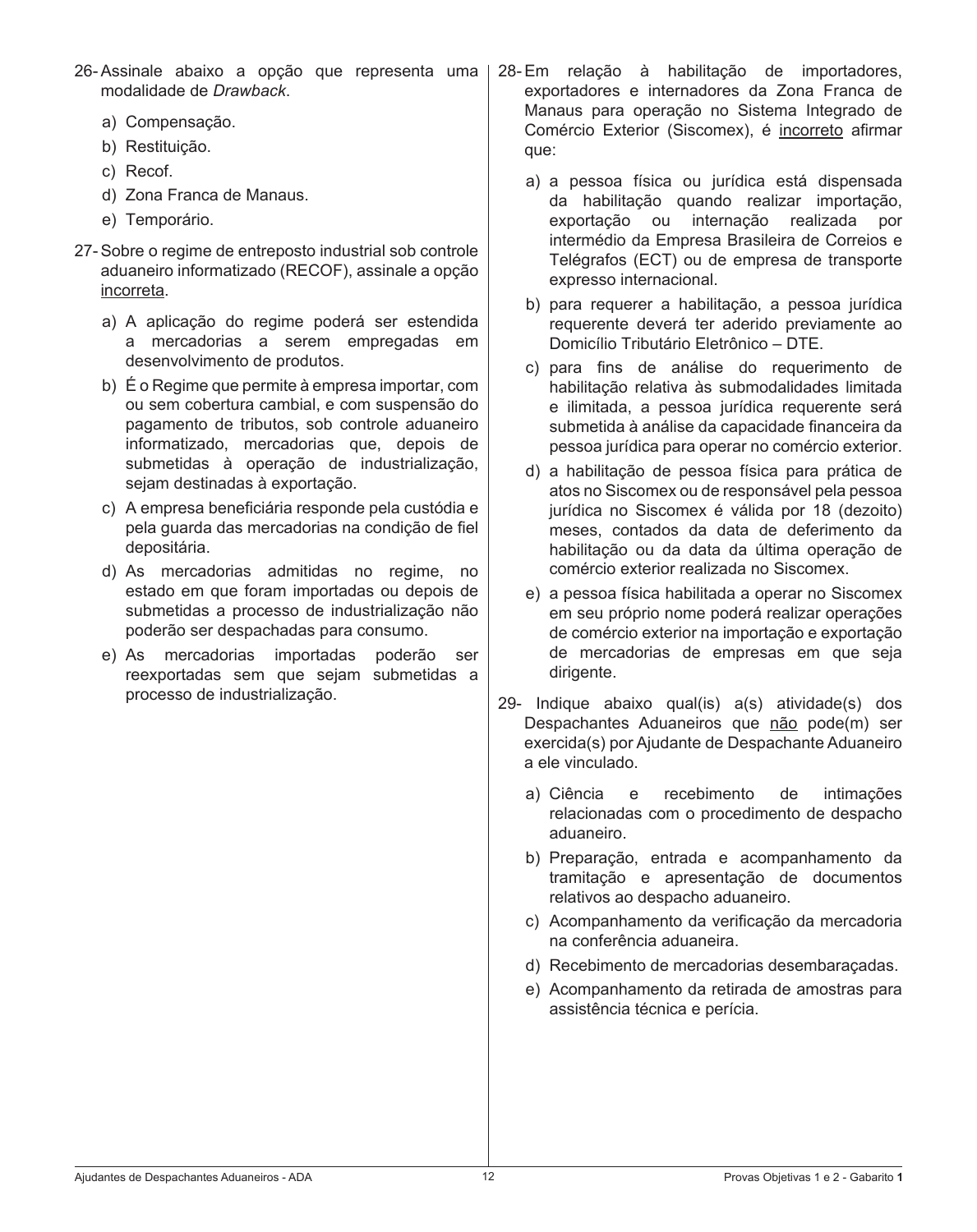| 26-Assinale abaixo a opção que representa uma |  |  |  |  |  |
|-----------------------------------------------|--|--|--|--|--|
| modalidade de Drawback.                       |  |  |  |  |  |

- a) Compensação.
- b) Restituição.
- c) Recof.
- d) Zona Franca de Manaus.
- e) Temporário.
- 27- Sobre o regime de entreposto industrial sob controle aduaneiro informatizado (RECOF), assinale a opção incorreta.
	- a) A aplicação do regime poderá ser estendida a mercadorias a serem empregadas em desenvolvimento de produtos.
	- b) É o Regime que permite à empresa importar, com ou sem cobertura cambial, e com suspensão do pagamento de tributos, sob controle aduaneiro informatizado, mercadorias que, depois de submetidas à operação de industrialização, sejam destinadas à exportação.
	- c) A empresa beneficiária responde pela custódia e pela guarda das mercadorias na condição de fiel depositária.
	- d) As mercadorias admitidas no regime, no estado em que foram importadas ou depois de submetidas a processo de industrialização não poderão ser despachadas para consumo.
	- e) As mercadorias importadas poderão ser reexportadas sem que sejam submetidas a processo de industrialização.
- 28- Em relação à habilitação de importadores, exportadores e internadores da Zona Franca de Manaus para operação no Sistema Integrado de Comércio Exterior (Siscomex), é incorreto afirmar que:
	- a) a pessoa física ou jurídica está dispensada da habilitação quando realizar importação, exportação ou internação realizada por intermédio da Empresa Brasileira de Correios e Telégrafos (ECT) ou de empresa de transporte expresso internacional.
	- b) para requerer a habilitação, a pessoa jurídica requerente deverá ter aderido previamente ao Domicílio Tributário Eletrônico – DTE.
	- c) para fins de análise do requerimento de habilitação relativa às submodalidades limitada e ilimitada, a pessoa jurídica requerente será submetida à análise da capacidade financeira da pessoa jurídica para operar no comércio exterior.
	- d) a habilitação de pessoa física para prática de atos no Siscomex ou de responsável pela pessoa jurídica no Siscomex é válida por 18 (dezoito) meses, contados da data de deferimento da habilitação ou da data da última operação de comércio exterior realizada no Siscomex.
	- e) a pessoa física habilitada a operar no Siscomex em seu próprio nome poderá realizar operações de comércio exterior na importação e exportação de mercadorias de empresas em que seja dirigente.
- 29- Indique abaixo qual(is) a(s) atividade(s) dos Despachantes Aduaneiros que não pode(m) ser exercida(s) por Ajudante de Despachante Aduaneiro a ele vinculado.
	- a) Ciência e recebimento de intimações relacionadas com o procedimento de despacho aduaneiro.
	- b) Preparação, entrada e acompanhamento da tramitação e apresentação de documentos relativos ao despacho aduaneiro.
	- c) Acompanhamento da verificação da mercadoria na conferência aduaneira.
	- d) Recebimento de mercadorias desembaraçadas.
	- e) Acompanhamento da retirada de amostras para assistência técnica e perícia.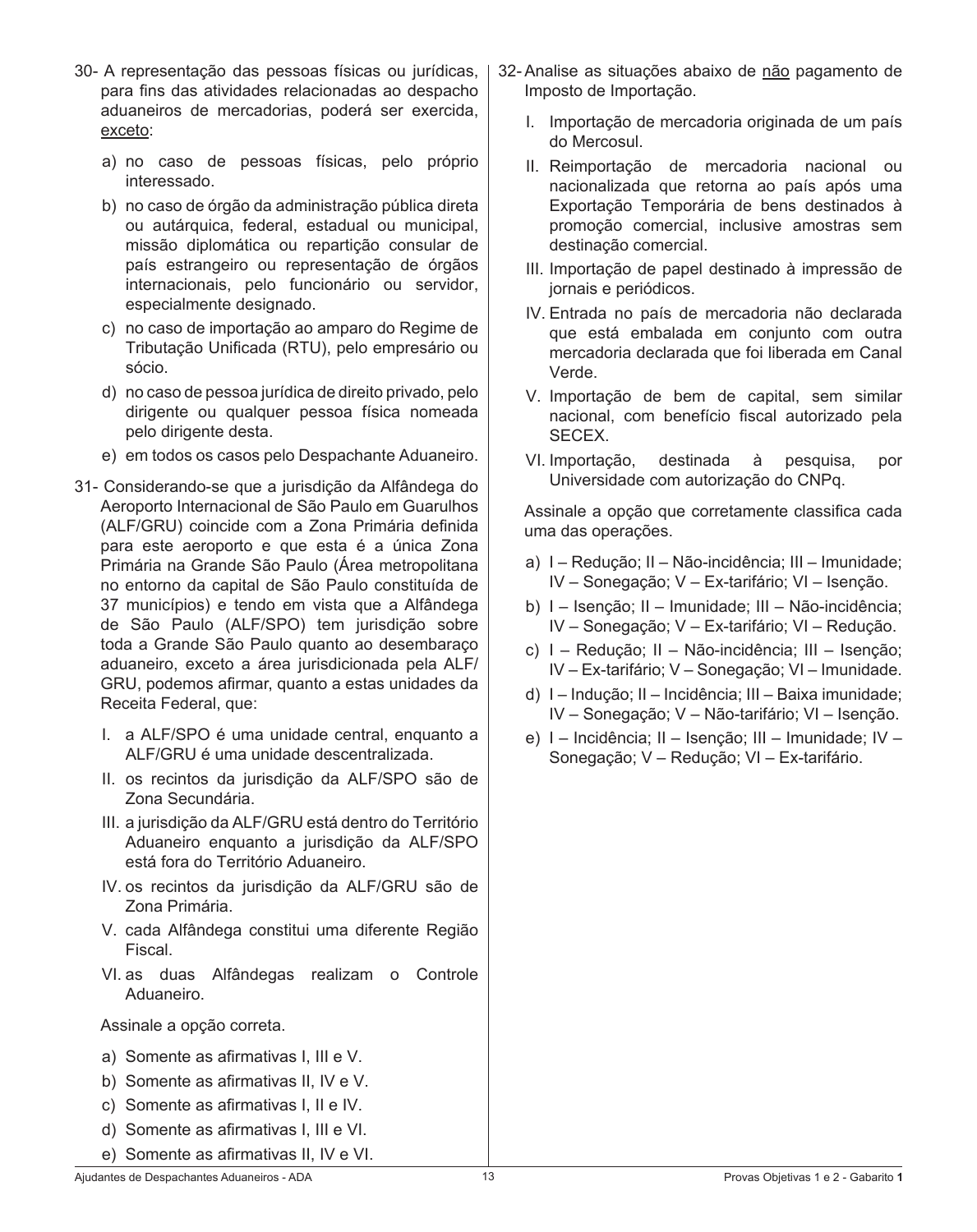- 30- A representação das pessoas físicas ou jurídicas, para fins das atividades relacionadas ao despacho aduaneiros de mercadorias, poderá ser exercida, exceto:
	- a) no caso de pessoas físicas, pelo próprio interessado.
	- b) no caso de órgão da administração pública direta ou autárquica, federal, estadual ou municipal, missão diplomática ou repartição consular de país estrangeiro ou representação de órgãos internacionais, pelo funcionário ou servidor, especialmente designado.
	- c) no caso de importação ao amparo do Regime de Tributação Unificada (RTU), pelo empresário ou sócio.
	- d) no caso de pessoa jurídica de direito privado, pelo dirigente ou qualquer pessoa física nomeada pelo dirigente desta.
	- e) em todos os casos pelo Despachante Aduaneiro.
- 31- Considerando-se que a jurisdição da Alfândega do Aeroporto Internacional de São Paulo em Guarulhos (ALF/GRU) coincide com a Zona Primária definida para este aeroporto e que esta é a única Zona Primária na Grande São Paulo (Área metropolitana no entorno da capital de São Paulo constituída de 37 municípios) e tendo em vista que a Alfândega de São Paulo (ALF/SPO) tem jurisdição sobre toda a Grande São Paulo quanto ao desembaraço aduaneiro, exceto a área jurisdicionada pela ALF/ GRU, podemos afirmar, quanto a estas unidades da Receita Federal, que:
	- I. a ALF/SPO é uma unidade central, enquanto a ALF/GRU é uma unidade descentralizada.
	- II. os recintos da jurisdição da ALF/SPO são de Zona Secundária.
	- III. a jurisdição da ALF/GRU está dentro do Território Aduaneiro enquanto a jurisdição da ALF/SPO está fora do Território Aduaneiro.
	- IV. os recintos da jurisdição da ALF/GRU são de Zona Primária.
	- V. cada Alfândega constitui uma diferente Região Fiscal.
	- VI. as duas Alfândegas realizam o Controle Aduaneiro.

#### Assinale a opção correta.

- a) Somente as afirmativas I, III e V.
- b) Somente as afirmativas II, IV e V.
- c) Somente as afirmativas I, II e IV.
- d) Somente as afirmativas I, III e VI.
- e) Somente as afirmativas II, IV e VI.
- 32- Analise as situações abaixo de não pagamento de Imposto de Importação.
	- I. Importação de mercadoria originada de um país do Mercosul.
	- II. Reimportação de mercadoria nacional ou nacionalizada que retorna ao país após uma Exportação Temporária de bens destinados à promoção comercial, inclusive amostras sem destinação comercial.
	- III. Importação de papel destinado à impressão de jornais e periódicos.
	- IV. Entrada no país de mercadoria não declarada que está embalada em conjunto com outra mercadoria declarada que foi liberada em Canal Verde.
	- V. Importação de bem de capital, sem similar nacional, com benefício fiscal autorizado pela SECEX.
	- VI. Importação, destinada à pesquisa, por Universidade com autorização do CNPq.

 Assinale a opção que corretamente classifica cada uma das operações.

- a) I Redução; II Não-incidência; III Imunidade; IV – Sonegação; V – Ex-tarifário; VI – Isenção.
- b) I Isenção; II Imunidade; III Não-incidência; IV – Sonegação; V – Ex-tarifário; VI – Redução.
- c) I Redução; II Não-incidência; III Isenção; IV – Ex-tarifário; V – Sonegação; VI – Imunidade.
- d) I Indução; II Incidência; III Baixa imunidade; IV – Sonegação; V – Não-tarifário; VI – Isenção.
- e) I Incidência; II Isenção; III Imunidade; IV Sonegação; V – Redução; VI – Ex-tarifário.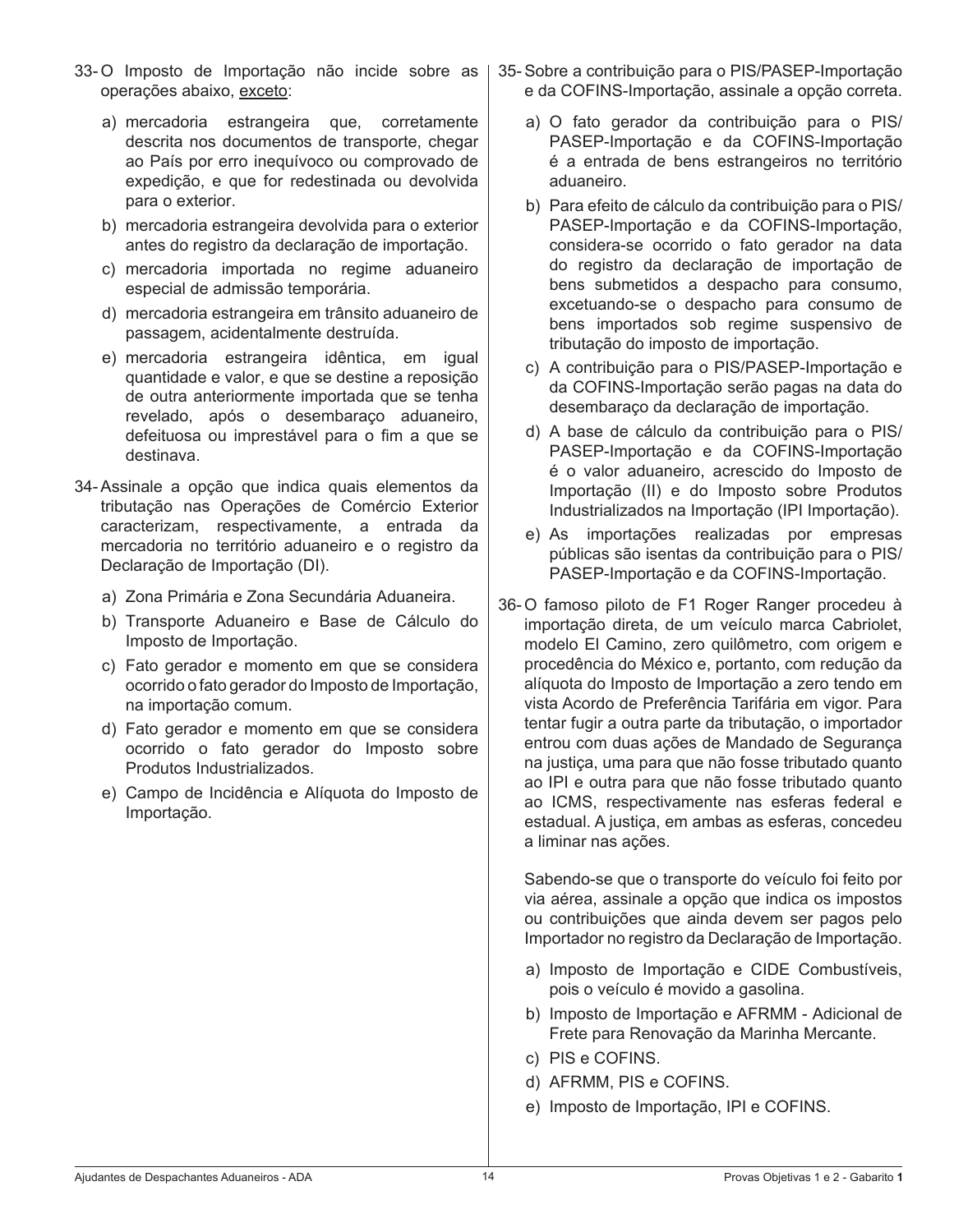- 33-O Imposto de Importação não incide sobre as operações abaixo, exceto:
	- a) mercadoria estrangeira que, corretamente descrita nos documentos de transporte, chegar ao País por erro inequívoco ou comprovado de expedição, e que for redestinada ou devolvida para o exterior.
	- b) mercadoria estrangeira devolvida para o exterior antes do registro da declaração de importação.
	- c) mercadoria importada no regime aduaneiro especial de admissão temporária.
	- d) mercadoria estrangeira em trânsito aduaneiro de passagem, acidentalmente destruída.
	- e) mercadoria estrangeira idêntica, em igual quantidade e valor, e que se destine a reposição de outra anteriormente importada que se tenha revelado, após o desembaraço aduaneiro, defeituosa ou imprestável para o fim a que se destinava.
- 34- Assinale a opção que indica quais elementos da tributação nas Operações de Comércio Exterior caracterizam, respectivamente, a entrada da mercadoria no território aduaneiro e o registro da Declaração de Importação (DI).
	- a) Zona Primária e Zona Secundária Aduaneira.
	- b) Transporte Aduaneiro e Base de Cálculo do Imposto de Importação.
	- c) Fato gerador e momento em que se considera ocorrido o fato gerador do Imposto de Importação, na importação comum.
	- d) Fato gerador e momento em que se considera ocorrido o fato gerador do Imposto sobre Produtos Industrializados.
	- e) Campo de Incidência e Alíquota do Imposto de Importação.
- 35- Sobre a contribuição para o PIS/PASEP-Importação e da COFINS-Importação, assinale a opção correta.
	- a) O fato gerador da contribuição para o PIS/ PASEP-Importação e da COFINS-Importação é a entrada de bens estrangeiros no território aduaneiro.
	- b) Para efeito de cálculo da contribuição para o PIS/ PASEP-Importação e da COFINS-Importação, considera-se ocorrido o fato gerador na data do registro da declaração de importação de bens submetidos a despacho para consumo, excetuando-se o despacho para consumo de bens importados sob regime suspensivo de tributação do imposto de importação.
	- c) A contribuição para o PIS/PASEP-Importação e da COFINS-Importação serão pagas na data do desembaraço da declaração de importação.
	- d) A base de cálculo da contribuição para o PIS/ PASEP-Importação e da COFINS-Importação é o valor aduaneiro, acrescido do Imposto de Importação (II) e do Imposto sobre Produtos Industrializados na Importação (IPI Importação).
	- e) As importações realizadas por empresas públicas são isentas da contribuição para o PIS/ PASEP-Importação e da COFINS-Importação.
- 36-O famoso piloto de F1 Roger Ranger procedeu à importação direta, de um veículo marca Cabriolet, modelo El Camino, zero quilômetro, com origem e procedência do México e, portanto, com redução da alíquota do Imposto de Importação a zero tendo em vista Acordo de Preferência Tarifária em vigor. Para tentar fugir a outra parte da tributação, o importador entrou com duas ações de Mandado de Segurança na justiça, uma para que não fosse tributado quanto ao IPI e outra para que não fosse tributado quanto ao ICMS, respectivamente nas esferas federal e estadual. A justiça, em ambas as esferas, concedeu a liminar nas ações.

 Sabendo-se que o transporte do veículo foi feito por via aérea, assinale a opção que indica os impostos ou contribuições que ainda devem ser pagos pelo Importador no registro da Declaração de Importação.

- a) Imposto de Importação e CIDE Combustíveis, pois o veículo é movido a gasolina.
- b) Imposto de Importação e AFRMM Adicional de Frete para Renovação da Marinha Mercante.
- c) PIS e COFINS.
- d) AFRMM, PIS e COFINS.
- e) Imposto de Importação, IPI e COFINS.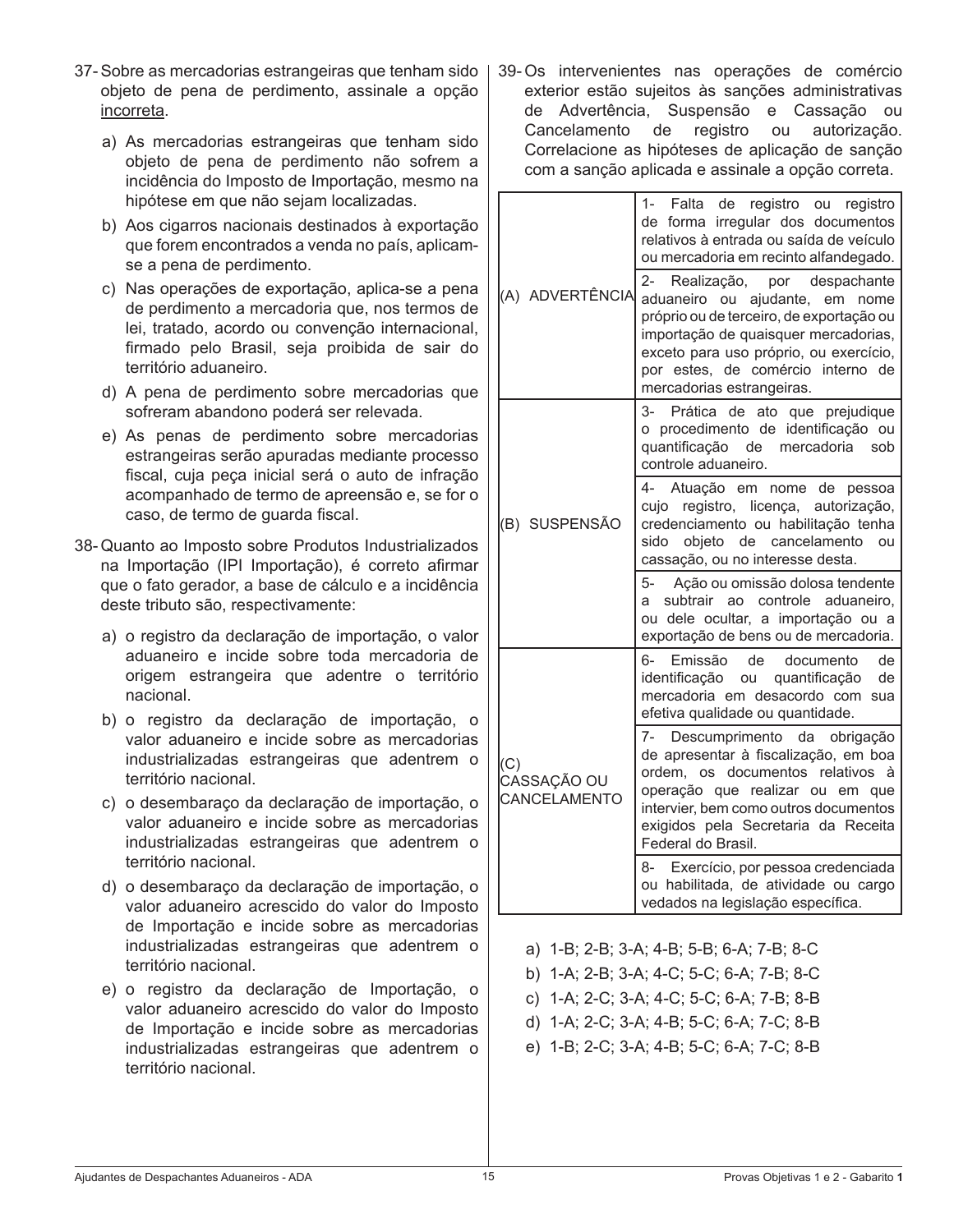- 37- Sobre as mercadorias estrangeiras que tenham sido objeto de pena de perdimento, assinale a opção incorreta.
	- a) As mercadorias estrangeiras que tenham sido objeto de pena de perdimento não sofrem a incidência do Imposto de Importação, mesmo na hipótese em que não sejam localizadas.
	- b) Aos cigarros nacionais destinados à exportação que forem encontrados a venda no país, aplicamse a pena de perdimento.
	- c) Nas operações de exportação, aplica-se a pena de perdimento a mercadoria que, nos termos de lei, tratado, acordo ou convenção internacional, firmado pelo Brasil, seja proibida de sair do território aduaneiro.
	- d) A pena de perdimento sobre mercadorias que sofreram abandono poderá ser relevada.
	- e) As penas de perdimento sobre mercadorias estrangeiras serão apuradas mediante processo fiscal, cuja peça inicial será o auto de infração acompanhado de termo de apreensão e, se for o caso, de termo de guarda fiscal.
- 38- Quanto ao Imposto sobre Produtos Industrializados na Importação (IPI Importação), é correto afirmar que o fato gerador, a base de cálculo e a incidência deste tributo são, respectivamente:
	- a) o registro da declaração de importação, o valor aduaneiro e incide sobre toda mercadoria de origem estrangeira que adentre o território nacional.
	- b) o registro da declaração de importação, o valor aduaneiro e incide sobre as mercadorias industrializadas estrangeiras que adentrem o território nacional.
	- c) o desembaraço da declaração de importação, o valor aduaneiro e incide sobre as mercadorias industrializadas estrangeiras que adentrem o território nacional.
	- d) o desembaraço da declaração de importação, o valor aduaneiro acrescido do valor do Imposto de Importação e incide sobre as mercadorias industrializadas estrangeiras que adentrem o território nacional.
	- e) o registro da declaração de Importação, o valor aduaneiro acrescido do valor do Imposto de Importação e incide sobre as mercadorias industrializadas estrangeiras que adentrem o território nacional.

39- Os intervenientes nas operações de comércio exterior estão sujeitos às sanções administrativas de Advertência, Suspensão e Cassação ou Cancelamento de registro ou autorização. Correlacione as hipóteses de aplicação de sanção com a sanção aplicada e assinale a opção correta.

| (A) ADVERTÊNCIA                    | $1 -$<br>Falta de registro ou<br>registro<br>de forma irregular dos documentos<br>relativos à entrada ou saída de veículo<br>ou mercadoria em recinto alfandegado.<br>2-<br>Realização,<br>por<br>despachante<br>aduaneiro ou ajudante, em<br>nome<br>próprio ou de terceiro, de exportação ou<br>importação de quaisquer mercadorias,<br>exceto para uso próprio, ou exercício,<br>por estes, de comércio interno de<br>mercadorias estrangeiras. |
|------------------------------------|----------------------------------------------------------------------------------------------------------------------------------------------------------------------------------------------------------------------------------------------------------------------------------------------------------------------------------------------------------------------------------------------------------------------------------------------------|
| (B) SUSPENSÃO                      | 3- Prática de ato que prejudique<br>o procedimento de identificação ou<br>quantificação de<br>mercadoria<br>sob<br>controle aduaneiro.                                                                                                                                                                                                                                                                                                             |
|                                    | Atuação em nome de pessoa<br>4-<br>licença, autorização,<br>cujo registro,<br>credenciamento ou habilitação tenha<br>sido objeto de cancelamento<br>ou<br>cassação, ou no interesse desta.                                                                                                                                                                                                                                                         |
|                                    | 5-<br>Ação ou omissão dolosa tendente<br>subtrair<br>ao controle<br>aduaneiro.<br>a<br>ou dele ocultar, a importação ou a<br>exportação de bens ou de mercadoria.                                                                                                                                                                                                                                                                                  |
| (C)<br>CASSAÇÃO OU<br>CANCELAMENTO | 6-<br>Emissão<br>de<br>documento<br>de<br>identificação ou<br>quantificação<br>de<br>mercadoria em desacordo com sua<br>efetiva qualidade ou quantidade.                                                                                                                                                                                                                                                                                           |
|                                    | 7- Descumprimento da obrigação<br>de apresentar à fiscalização, em boa<br>documentos<br>relativos<br>ordem, os<br>à<br>operação que realizar ou em que<br>intervier, bem como outros documentos<br>exigidos pela Secretaria da Receita<br>Federal do Brasil.                                                                                                                                                                                       |
|                                    | 8- Exercício, por pessoa credenciada<br>ou habilitada, de atividade ou cargo<br>vedados na legislação específica.                                                                                                                                                                                                                                                                                                                                  |

- a) 1-B; 2-B; 3-A; 4-B; 5-B; 6-A; 7-B; 8-C
- b) 1-A; 2-B; 3-A; 4-C; 5-C; 6-A; 7-B; 8-C
- c) 1-A; 2-C; 3-A; 4-C; 5-C; 6-A; 7-B; 8-B
- d) 1-A; 2-C; 3-A; 4-B; 5-C; 6-A; 7-C; 8-B
- e) 1-B; 2-C; 3-A; 4-B; 5-C; 6-A; 7-C; 8-B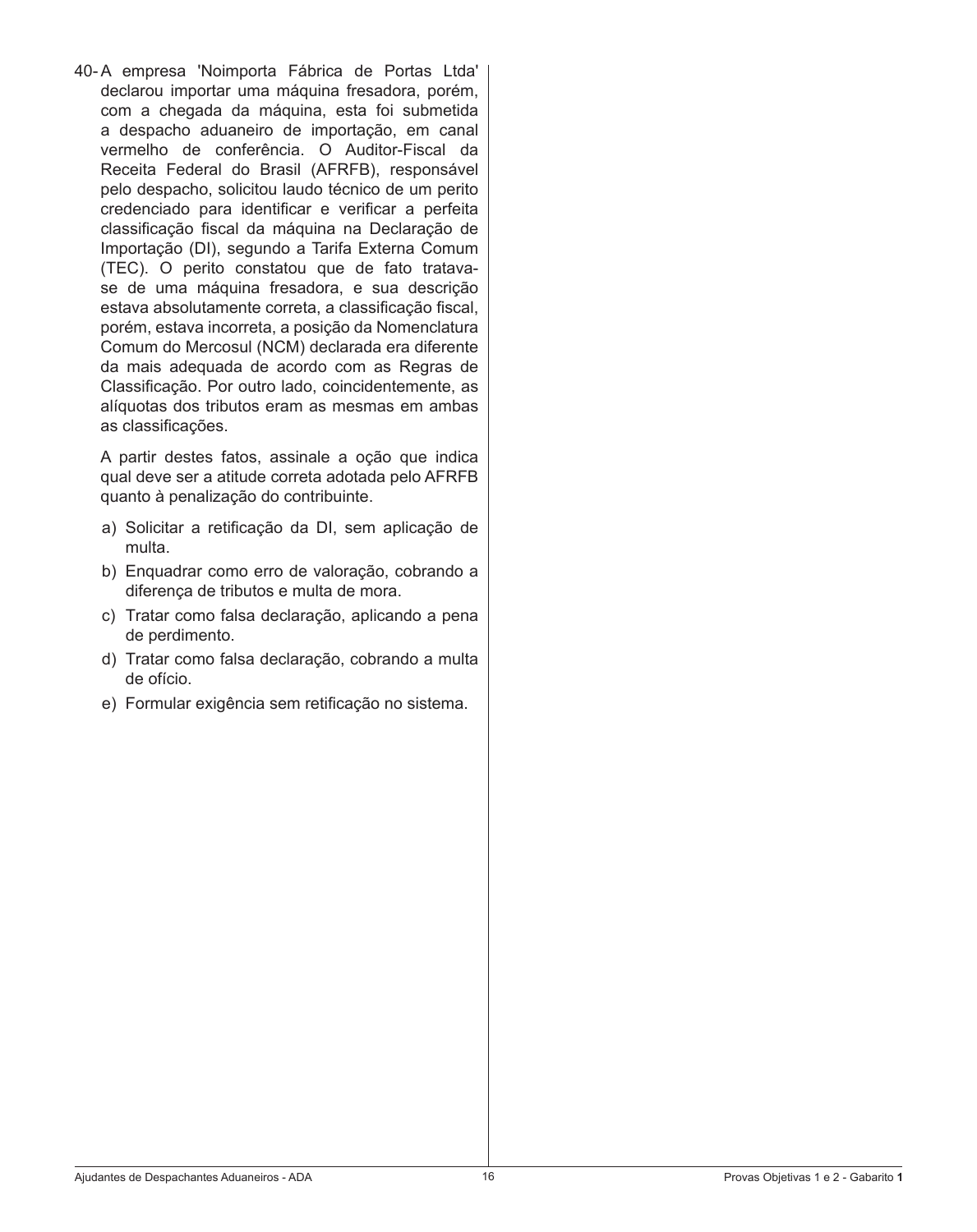40- A empresa 'Noimporta Fábrica de Portas Ltda' declarou importar uma máquina fresadora, porém, com a chegada da máquina, esta foi submetida a despacho aduaneiro de importação, em canal vermelho de conferência. O Auditor-Fiscal da Receita Federal do Brasil (AFRFB), responsável pelo despacho, solicitou laudo técnico de um perito credenciado para identificar e verificar a perfeita classificação fiscal da máquina na Declaração de Importação (DI), segundo a Tarifa Externa Comum (TEC). O perito constatou que de fato tratavase de uma máquina fresadora, e sua descrição estava absolutamente correta, a classificação fiscal, porém, estava incorreta, a posição da Nomenclatura Comum do Mercosul (NCM) declarada era diferente da mais adequada de acordo com as Regras de Classificação. Por outro lado, coincidentemente, as alíquotas dos tributos eram as mesmas em ambas as classificações.

 A partir destes fatos, assinale a oção que indica qual deve ser a atitude correta adotada pelo AFRFB quanto à penalização do contribuinte.

- a) Solicitar a retificação da DI, sem aplicação de multa.
- b) Enquadrar como erro de valoração, cobrando a diferença de tributos e multa de mora.
- c) Tratar como falsa declaração, aplicando a pena de perdimento.
- d) Tratar como falsa declaração, cobrando a multa de ofício.
- e) Formular exigência sem retificação no sistema.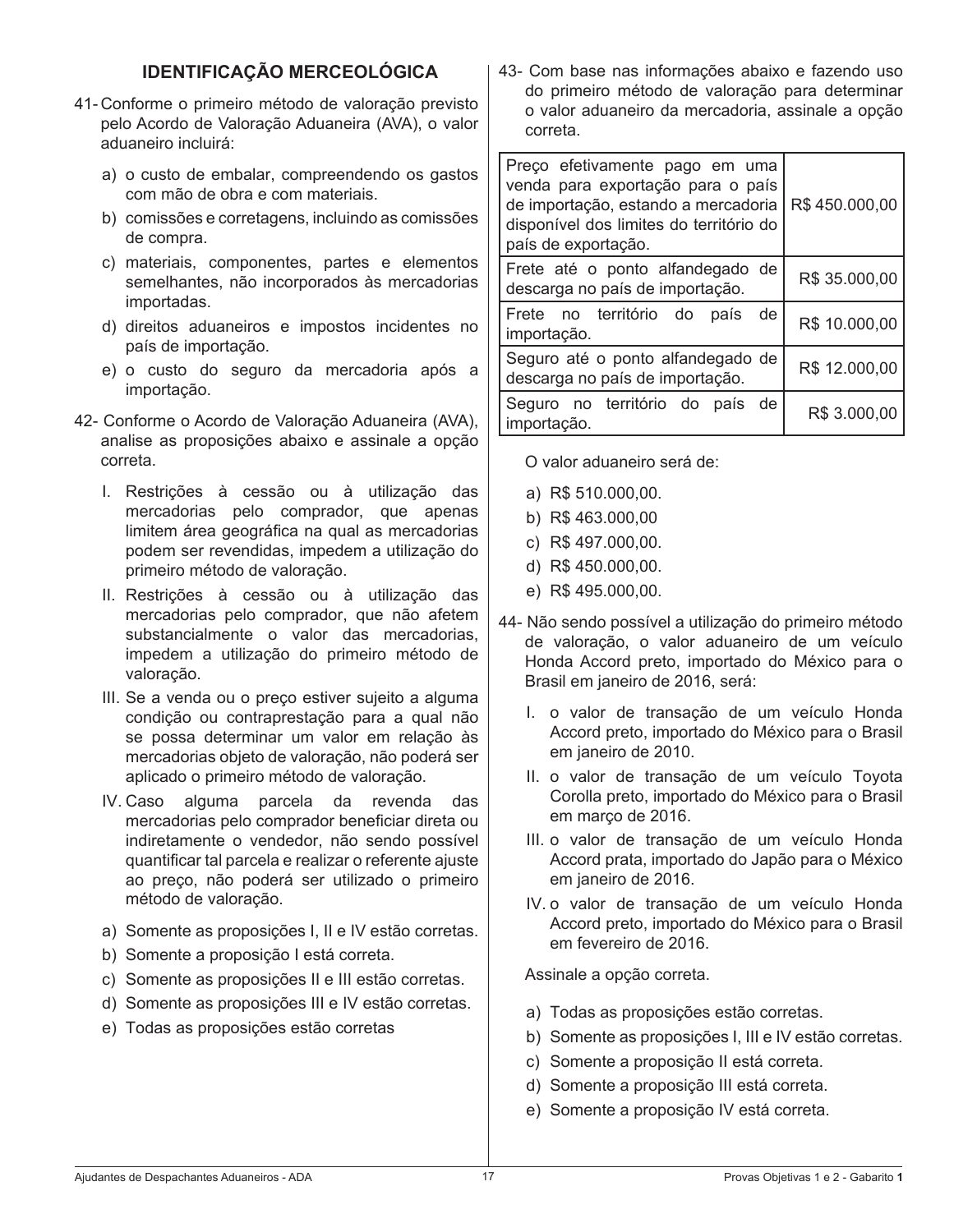# **IDENTIFICAÇÃO MERCEOLÓGICA**

- 41- Conforme o primeiro método de valoração previsto pelo Acordo de Valoração Aduaneira (AVA), o valor aduaneiro incluirá:
	- a) o custo de embalar, compreendendo os gastos com mão de obra e com materiais.
	- b) comissões e corretagens, incluindo as comissões de compra.
	- c) materiais, componentes, partes e elementos semelhantes, não incorporados às mercadorias importadas.
	- d) direitos aduaneiros e impostos incidentes no país de importação.
	- e) o custo do seguro da mercadoria após a importação.
- 42- Conforme o Acordo de Valoração Aduaneira (AVA), analise as proposições abaixo e assinale a opção correta.
	- I. Restrições à cessão ou à utilização das mercadorias pelo comprador, que apenas limitem área geográfica na qual as mercadorias podem ser revendidas, impedem a utilização do primeiro método de valoração.
	- II. Restrições à cessão ou à utilização das mercadorias pelo comprador, que não afetem substancialmente o valor das mercadorias, impedem a utilização do primeiro método de valoração.
	- III. Se a venda ou o preco estiver sujeito a alguma condição ou contraprestação para a qual não se possa determinar um valor em relação às mercadorias objeto de valoração, não poderá ser aplicado o primeiro método de valoração.
	- IV. Caso alguma parcela da revenda das mercadorias pelo comprador beneficiar direta ou indiretamente o vendedor, não sendo possível quantificar tal parcela e realizar o referente ajuste ao preço, não poderá ser utilizado o primeiro método de valoração.
	- a) Somente as proposições I, II e IV estão corretas.
	- b) Somente a proposição I está correta.
	- c) Somente as proposições II e III estão corretas.
	- d) Somente as proposições III e IV estão corretas.
	- e) Todas as proposições estão corretas

43- Com base nas informações abaixo e fazendo uso do primeiro método de valoração para determinar o valor aduaneiro da mercadoria, assinale a opção correta.

| Preço efetivamente pago em uma<br>venda para exportação para o país<br>de importação, estando a mercadoria<br>disponível dos limites do território do<br>país de exportação. | R\$450.000,00 |
|------------------------------------------------------------------------------------------------------------------------------------------------------------------------------|---------------|
| Frete até o ponto alfandegado de<br>descarga no país de importação.                                                                                                          | R\$ 35.000,00 |
| Frete no território do<br>de<br>país<br>importação.                                                                                                                          | R\$ 10.000,00 |
| Seguro até o ponto alfandegado de<br>descarga no país de importação.                                                                                                         | R\$ 12.000,00 |
| Seguro no território do país de<br>importação.                                                                                                                               | R\$ 3.000,00  |

 O valor aduaneiro será de:

- a) R\$ 510.000,00.
- b) R\$ 463.000,00
- c) R\$ 497.000,00.
- d) R\$ 450.000,00.
- e) R\$ 495.000,00.
- 44- Não sendo possível a utilização do primeiro método de valoração, o valor aduaneiro de um veículo Honda Accord preto, importado do México para o Brasil em janeiro de 2016, será:
	- I. o valor de transação de um veículo Honda Accord preto, importado do México para o Brasil em janeiro de 2010.
	- II. o valor de transação de um veículo Toyota Corolla preto, importado do México para o Brasil em março de 2016.
	- III. o valor de transação de um veículo Honda Accord prata, importado do Japão para o México em janeiro de 2016.
	- IV. o valor de transação de um veículo Honda Accord preto, importado do México para o Brasil em fevereiro de 2016.

 Assinale a opção correta.

- a) Todas as proposições estão corretas.
- b) Somente as proposições I, III e IV estão corretas.
- c) Somente a proposição II está correta.
- d) Somente a proposição III está correta.
- e) Somente a proposição IV está correta.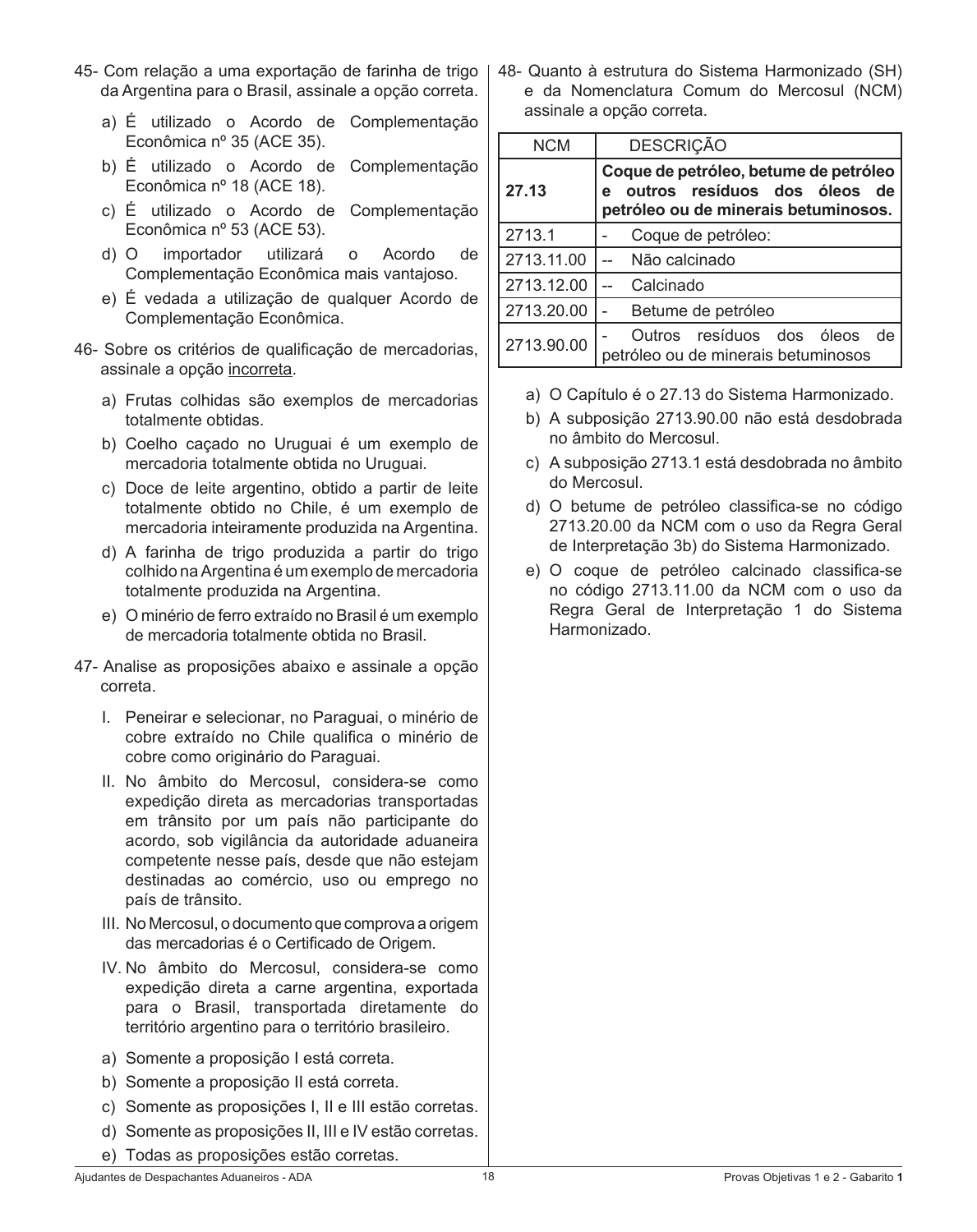- 45- Com relação a uma exportação de farinha de trigo da Argentina para o Brasil, assinale a opção correta.
	- a) É utilizado o Acordo de Complementação Econômica nº 35 (ACE 35).
	- b) É utilizado o Acordo de Complementação Econômica nº 18 (ACE 18).
	- c) É utilizado o Acordo de Complementação Econômica nº 53 (ACE 53).
	- d) O importador utilizará o Acordo de Complementação Econômica mais vantajoso.
	- e) É vedada a utilização de qualquer Acordo de Complementação Econômica.
- 46- Sobre os critérios de qualificação de mercadorias, assinale a opção incorreta.
	- a) Frutas colhidas são exemplos de mercadorias totalmente obtidas.
	- b) Coelho caçado no Uruguai é um exemplo de mercadoria totalmente obtida no Uruguai.
	- c) Doce de leite argentino, obtido a partir de leite totalmente obtido no Chile, é um exemplo de mercadoria inteiramente produzida na Argentina.
	- d) A farinha de trigo produzida a partir do trigo colhido naArgentina é um exemplo de mercadoria totalmente produzida na Argentina.
	- e) O minério de ferro extraído no Brasil é um exemplo de mercadoria totalmente obtida no Brasil.
- 47- Analise as proposições abaixo e assinale a opção correta.
	- I. Peneirar e selecionar, no Paraguai, o minério de cobre extraído no Chile qualifica o minério de cobre como originário do Paraguai.
	- II. No âmbito do Mercosul, considera-se como expedição direta as mercadorias transportadas em trânsito por um país não participante do acordo, sob vigilância da autoridade aduaneira competente nesse país, desde que não estejam destinadas ao comércio, uso ou emprego no país de trânsito.
	- III. No Mercosul, o documento que comprova a origem das mercadorias é o Certificado de Origem.
	- IV. No âmbito do Mercosul, considera-se como expedição direta a carne argentina, exportada para o Brasil, transportada diretamente do território argentino para o território brasileiro.
	- a) Somente a proposição I está correta.
	- b) Somente a proposição II está correta.
	- c) Somente as proposições I, II e III estão corretas.
	- d) Somente as proposições II, III e IV estão corretas.
	- e) Todas as proposições estão corretas.

48- Quanto à estrutura do Sistema Harmonizado (SH) e da Nomenclatura Comum do Mercosul (NCM) assinale a opção correta.

| <b>NCM</b> | <b>DESCRIÇÃO</b>                                                                                                   |  |
|------------|--------------------------------------------------------------------------------------------------------------------|--|
| 27.13      | Coque de petróleo, betume de petróleo<br>outros resíduos dos óleos de<br>e<br>petróleo ou de minerais betuminosos. |  |
| 2713.1     | Coque de petróleo:                                                                                                 |  |
| 2713.11.00 | Não calcinado                                                                                                      |  |
| 2713.12.00 | Calcinado                                                                                                          |  |
| 2713.20.00 | Betume de petróleo                                                                                                 |  |
| 2713.90.00 | Outros resíduos dos óleos<br>de<br>petróleo ou de minerais betuminosos                                             |  |

- a) O Capítulo é o 27.13 do Sistema Harmonizado.
- b) A subposição 2713.90.00 não está desdobrada no âmbito do Mercosul.
- c) A subposição 2713.1 está desdobrada no âmbito do Mercosul.
- d) O betume de petróleo classifica-se no código 2713.20.00 da NCM com o uso da Regra Geral de Interpretação 3b) do Sistema Harmonizado.
- e) O coque de petróleo calcinado classifica-se no código 2713.11.00 da NCM com o uso da Regra Geral de Interpretação 1 do Sistema Harmonizado.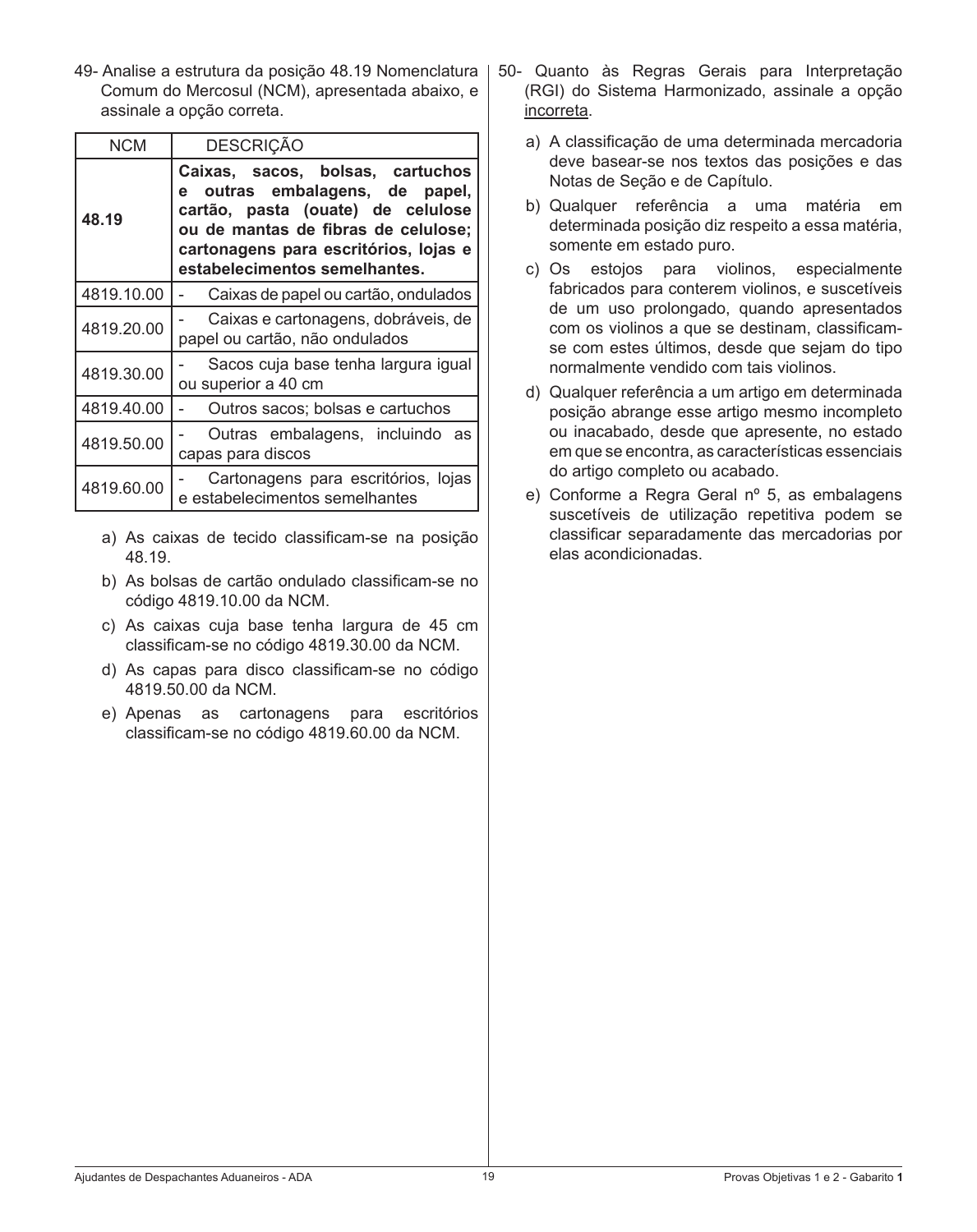49- Analise a estrutura da posição 48.19 Nomenclatura Comum do Mercosul (NCM), apresentada abaixo, e assinale a opção correta.

| NCM        | <b>DESCRIÇÃO</b>                                                                                                                                                                                                         |  |  |
|------------|--------------------------------------------------------------------------------------------------------------------------------------------------------------------------------------------------------------------------|--|--|
| 48.19      | Caixas, sacos, bolsas, cartuchos<br>e outras embalagens, de papel,<br>cartão, pasta (ouate) de celulose<br>ou de mantas de fibras de celulose;<br>cartonagens para escritórios, lojas e<br>estabelecimentos semelhantes. |  |  |
| 4819.10.00 | Caixas de papel ou cartão, ondulados                                                                                                                                                                                     |  |  |
| 4819.20.00 | Caixas e cartonagens, dobráveis, de<br>papel ou cartão, não ondulados                                                                                                                                                    |  |  |
| 4819.30.00 | Sacos cuja base tenha largura igual<br>ou superior a 40 cm                                                                                                                                                               |  |  |
| 4819.40.00 | Outros sacos; bolsas e cartuchos                                                                                                                                                                                         |  |  |
| 4819.50.00 | Outras embalagens, incluindo as<br>capas para discos                                                                                                                                                                     |  |  |
| 4819.60.00 | Cartonagens para escritórios, lojas<br>e estabelecimentos semelhantes                                                                                                                                                    |  |  |

- a) As caixas de tecido classificam-se na posição 48.19.
- b) As bolsas de cartão ondulado classificam-se no código 4819.10.00 da NCM.
- c) As caixas cuja base tenha largura de 45 cm classificam-se no código 4819.30.00 da NCM.
- d) As capas para disco classificam-se no código 4819.50.00 da NCM.
- e) Apenas as cartonagens para escritórios classificam-se no código 4819.60.00 da NCM.
- 50- Quanto às Regras Gerais para Interpretação (RGI) do Sistema Harmonizado, assinale a opção incorreta.
	- a) A classificação de uma determinada mercadoria deve basear-se nos textos das posições e das Notas de Seção e de Capítulo.
	- b) Qualquer referência a uma matéria em determinada posição diz respeito a essa matéria, somente em estado puro.
	- c) Os estojos para violinos, especialmente fabricados para conterem violinos, e suscetíveis de um uso prolongado, quando apresentados com os violinos a que se destinam, classificamse com estes últimos, desde que sejam do tipo normalmente vendido com tais violinos.
	- d) Qualquer referência a um artigo em determinada posição abrange esse artigo mesmo incompleto ou inacabado, desde que apresente, no estado em que se encontra, as características essenciais do artigo completo ou acabado.
	- e) Conforme a Regra Geral nº 5, as embalagens suscetíveis de utilização repetitiva podem se classificar separadamente das mercadorias por elas acondicionadas.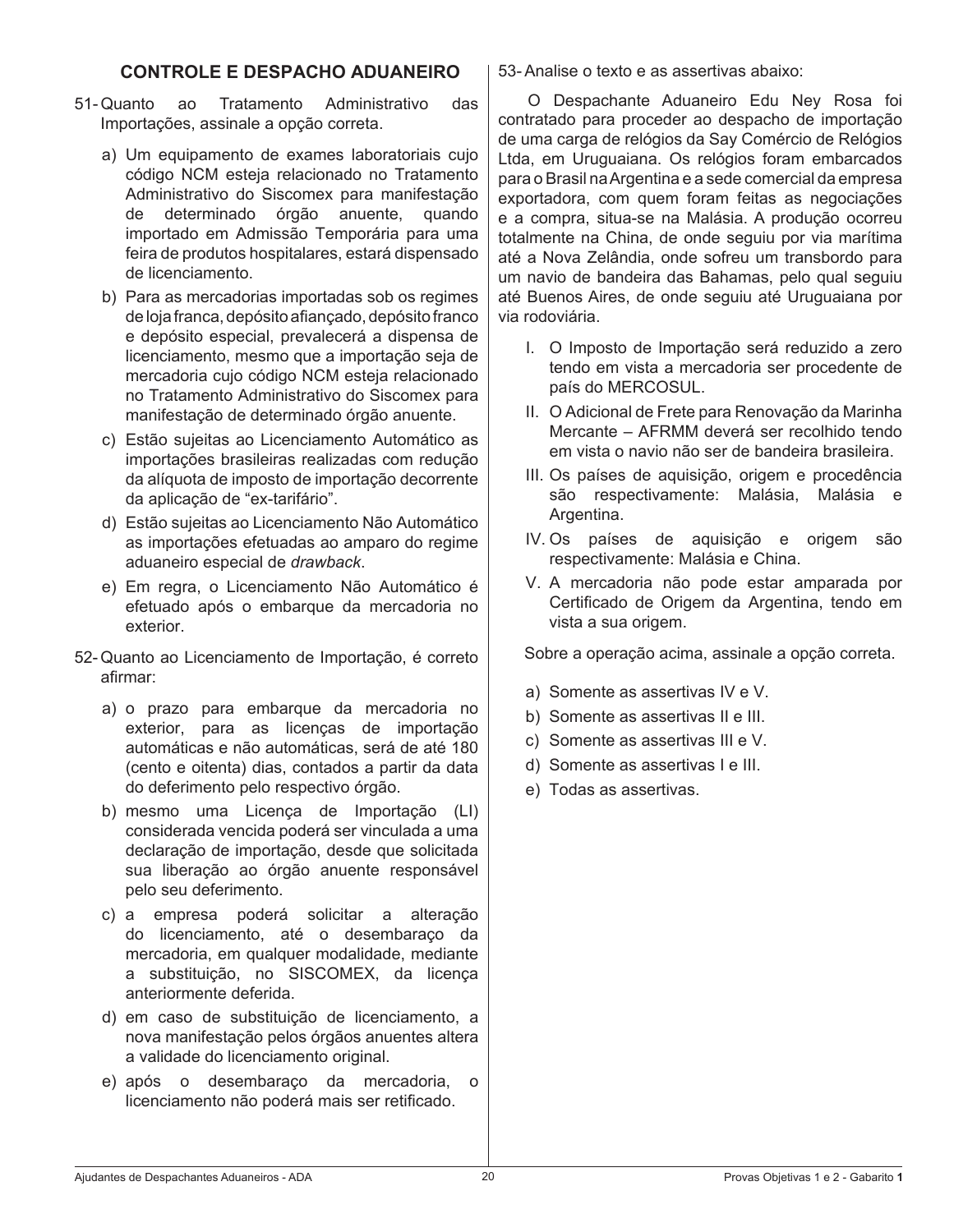## **CONTROLE E DESPACHO ADUANEIRO**

- 51- Quanto ao Tratamento Administrativo das Importações, assinale a opção correta.
	- a) Um equipamento de exames laboratoriais cujo código NCM esteja relacionado no Tratamento Administrativo do Siscomex para manifestação de determinado órgão anuente, quando importado em Admissão Temporária para uma feira de produtos hospitalares, estará dispensado de licenciamento.
	- b) Para as mercadorias importadas sob os regimes delojafranca,depósito afiançado, depósito franco e depósito especial, prevalecerá a dispensa de licenciamento, mesmo que a importação seja de mercadoria cujo código NCM esteja relacionado no Tratamento Administrativo do Siscomex para manifestação de determinado órgão anuente.
	- c) Estão sujeitas ao Licenciamento Automático as importações brasileiras realizadas com redução da alíquota de imposto de importação decorrente da aplicação de "ex-tarifário".
	- d) Estão sujeitas ao Licenciamento Não Automático as importações efetuadas ao amparo do regime aduaneiro especial de *drawback*.
	- e) Em regra, o Licenciamento Não Automático é efetuado após o embarque da mercadoria no exterior.
- 52- Quanto ao Licenciamento de Importação, é correto afirmar:
	- a) o prazo para embarque da mercadoria no exterior, para as licenças de importação automáticas e não automáticas, será de até 180 (cento e oitenta) dias, contados a partir da data do deferimento pelo respectivo órgão.
	- b) mesmo uma Licença de Importação (LI) considerada vencida poderá ser vinculada a uma declaração de importação, desde que solicitada sua liberação ao órgão anuente responsável pelo seu deferimento.
	- c) a empresa poderá solicitar a alteração do licenciamento, até o desembaraço da mercadoria, em qualquer modalidade, mediante a substituição, no SISCOMEX, da licença anteriormente deferida.
	- d) em caso de substituição de licenciamento, a nova manifestação pelos órgãos anuentes altera a validade do licenciamento original.
	- e) após o desembaraço da mercadoria, o licenciamento não poderá mais ser retificado.

53- Analise o texto e as assertivas abaixo:

 O Despachante Aduaneiro Edu Ney Rosa foi contratado para proceder ao despacho de importação de uma carga de relógios da Say Comércio de Relógios Ltda, em Uruguaiana. Os relógios foram embarcados para o Brasil naArgentina e a sede comercial da empresa exportadora, com quem foram feitas as negociações e a compra, situa-se na Malásia. A produção ocorreu totalmente na China, de onde seguiu por via marítima até a Nova Zelândia, onde sofreu um transbordo para um navio de bandeira das Bahamas, pelo qual seguiu até Buenos Aires, de onde seguiu até Uruguaiana por via rodoviária.

- I. O Imposto de Importação será reduzido a zero tendo em vista a mercadoria ser procedente de país do MERCOSUL.
- II. O Adicional de Frete para Renovação da Marinha Mercante – AFRMM deverá ser recolhido tendo em vista o navio não ser de bandeira brasileira.
- III. Os países de aquisição, origem e procedência são respectivamente: Malásia, Malásia e Argentina.
- IV. Os países de aquisição e origem são respectivamente: Malásia e China.
- V. A mercadoria não pode estar amparada por Certificado de Origem da Argentina, tendo em vista a sua origem.

 Sobre a operação acima, assinale a opção correta.

- a) Somente as assertivas IV e V.
- b) Somente as assertivas II e III.
- c) Somente as assertivas III e V.
- d) Somente as assertivas I e III.
- e) Todas as assertivas.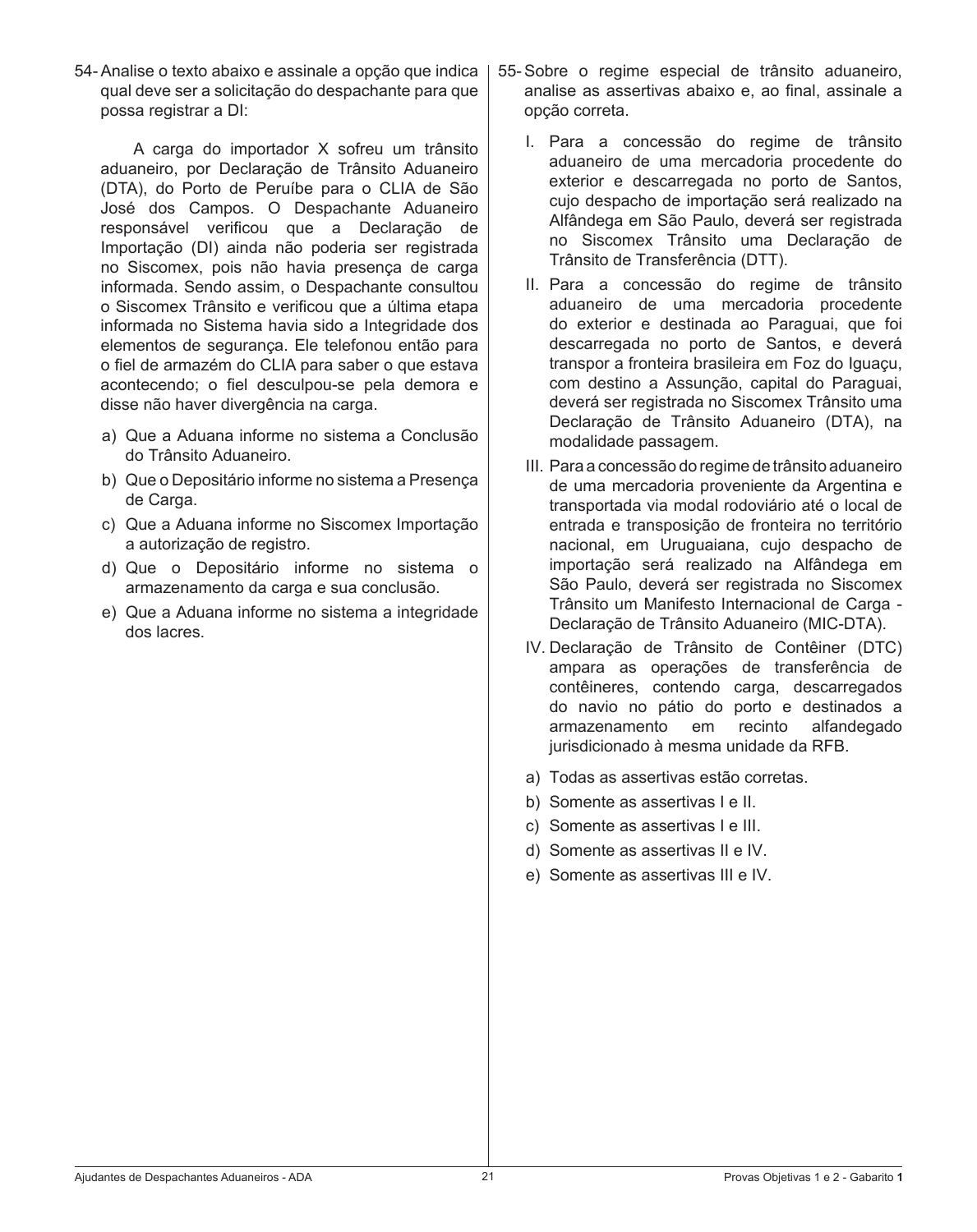54- Analise o texto abaixo e assinale a opção que indica qual deve ser a solicitação do despachante para que possa registrar a DI:

 A carga do importador X sofreu um trânsito aduaneiro, por Declaração de Trânsito Aduaneiro (DTA), do Porto de Peruíbe para o CLIA de São José dos Campos. O Despachante Aduaneiro responsável verificou que a Declaração de Importação (DI) ainda não poderia ser registrada no Siscomex, pois não havia presença de carga informada. Sendo assim, o Despachante consultou o Siscomex Trânsito e verificou que a última etapa informada no Sistema havia sido a Integridade dos elementos de segurança. Ele telefonou então para o fiel de armazém do CLIA para saber o que estava acontecendo; o fiel desculpou-se pela demora e disse não haver divergência na carga.

- a) Que a Aduana informe no sistema a Conclusão do Trânsito Aduaneiro.
- b) Que o Depositário informe no sistema a Presença de Carga.
- c) Que a Aduana informe no Siscomex Importação a autorização de registro.
- d) Que o Depositário informe no sistema o armazenamento da carga e sua conclusão.
- e) Que a Aduana informe no sistema a integridade dos lacres.
- 55-Sobre o regime especial de trânsito aduaneiro, analise as assertivas abaixo e, ao final, assinale a opção correta.
	- I. Para a concessão do regime de trânsito aduaneiro de uma mercadoria procedente do exterior e descarregada no porto de Santos, cujo despacho de importação será realizado na Alfândega em São Paulo, deverá ser registrada no Siscomex Trânsito uma Declaração de Trânsito de Transferência (DTT).
	- II. Para a concessão do regime de trânsito aduaneiro de uma mercadoria procedente do exterior e destinada ao Paraguai, que foi descarregada no porto de Santos, e deverá transpor a fronteira brasileira em Foz do Iguaçu, com destino a Assunção, capital do Paraguai, deverá ser registrada no Siscomex Trânsito uma Declaração de Trânsito Aduaneiro (DTA), na modalidade passagem.
	- III. Para a concessão do regime de trânsito aduaneiro de uma mercadoria proveniente da Argentina e transportada via modal rodoviário até o local de entrada e transposição de fronteira no território nacional, em Uruguaiana, cujo despacho de importação será realizado na Alfândega em São Paulo, deverá ser registrada no Siscomex Trânsito um Manifesto Internacional de Carga - Declaração de Trânsito Aduaneiro (MIC-DTA).
	- IV. Declaração de Trânsito de Contêiner (DTC) ampara as operações de transferência de contêineres, contendo carga, descarregados do navio no pátio do porto e destinados a armazenamento em recinto alfandegado jurisdicionado à mesma unidade da RFB.
	- a) Todas as assertivas estão corretas.
	- b) Somente as assertivas I e II.
	- c) Somente as assertivas I e III.
	- d) Somente as assertivas II e IV.
	- e) Somente as assertivas III e IV.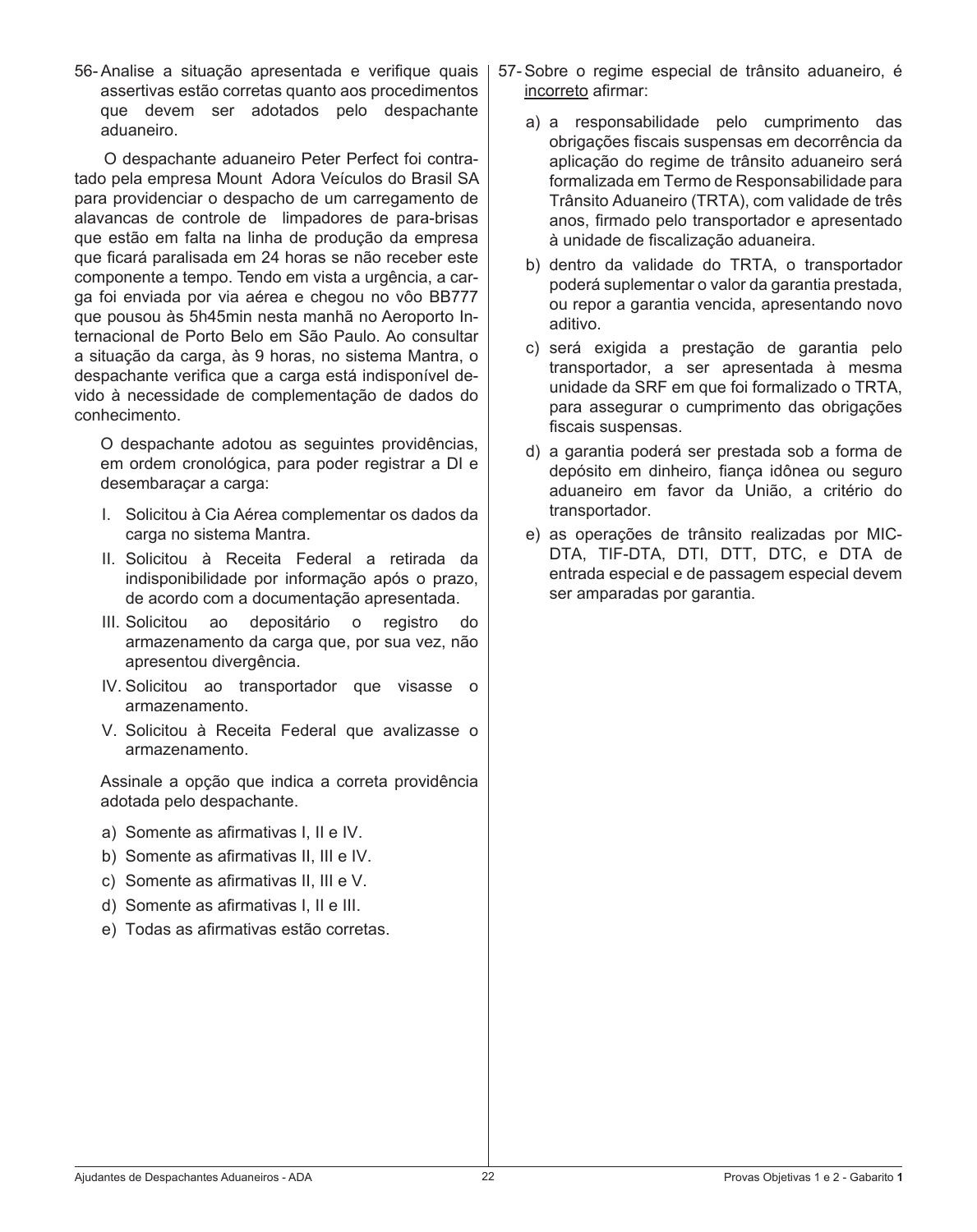56- Analise a situação apresentada e verifique quais assertivas estão corretas quanto aos procedimentos que devem ser adotados pelo despachante aduaneiro.

 O despachante aduaneiro Peter Perfect foi contratado pela empresa Mount Adora Veículos do Brasil SA para providenciar o despacho de um carregamento de alavancas de controle de limpadores de para-brisas que estão em falta na linha de produção da empresa que ficará paralisada em 24 horas se não receber este componente a tempo. Tendo em vista a urgência, a carga foi enviada por via aérea e chegou no vôo BB777 que pousou às 5h45min nesta manhã no Aeroporto Internacional de Porto Belo em São Paulo. Ao consultar a situação da carga, às 9 horas, no sistema Mantra, o despachante verifica que a carga está indisponível devido à necessidade de complementação de dados do conhecimento.

 O despachante adotou as seguintes providências, em ordem cronológica, para poder registrar a DI e desembaraçar a carga:

- I. Solicitou à Cia Aérea complementar os dados da carga no sistema Mantra.
- II. Solicitou à Receita Federal a retirada da indisponibilidade por informação após o prazo, de acordo com a documentação apresentada.
- III. Solicitou ao depositário o registro do armazenamento da carga que, por sua vez, não apresentou divergência.
- IV. Solicitou ao transportador que visasse o armazenamento.
- V. Solicitou à Receita Federal que avalizasse o armazenamento.

 Assinale a opção que indica a correta providência adotada pelo despachante.

- a) Somente as afirmativas I, II e IV.
- b) Somente as afirmativas II, III e IV.
- c) Somente as afirmativas II, III e V.
- d) Somente as afirmativas I, II e III.
- e) Todas as afirmativas estão corretas.
- 57-Sobre o regime especial de trânsito aduaneiro, é incorreto afirmar:
	- a) a responsabilidade pelo cumprimento das obrigações fiscais suspensas em decorrência da aplicação do regime de trânsito aduaneiro será formalizada em Termo de Responsabilidade para Trânsito Aduaneiro (TRTA), com validade de três anos, firmado pelo transportador e apresentado à unidade de fiscalização aduaneira.
	- b) dentro da validade do TRTA, o transportador poderá suplementar o valor da garantia prestada, ou repor a garantia vencida, apresentando novo aditivo.
	- c) será exigida a prestação de garantia pelo transportador, a ser apresentada à mesma unidade da SRF em que foi formalizado o TRTA, para assegurar o cumprimento das obrigações fiscais suspensas.
	- d) a garantia poderá ser prestada sob a forma de depósito em dinheiro, fiança idônea ou seguro aduaneiro em favor da União, a critério do transportador.
	- e) as operações de trânsito realizadas por MIC-DTA, TIF-DTA, DTI, DTT, DTC, e DTA de entrada especial e de passagem especial devem ser amparadas por garantia.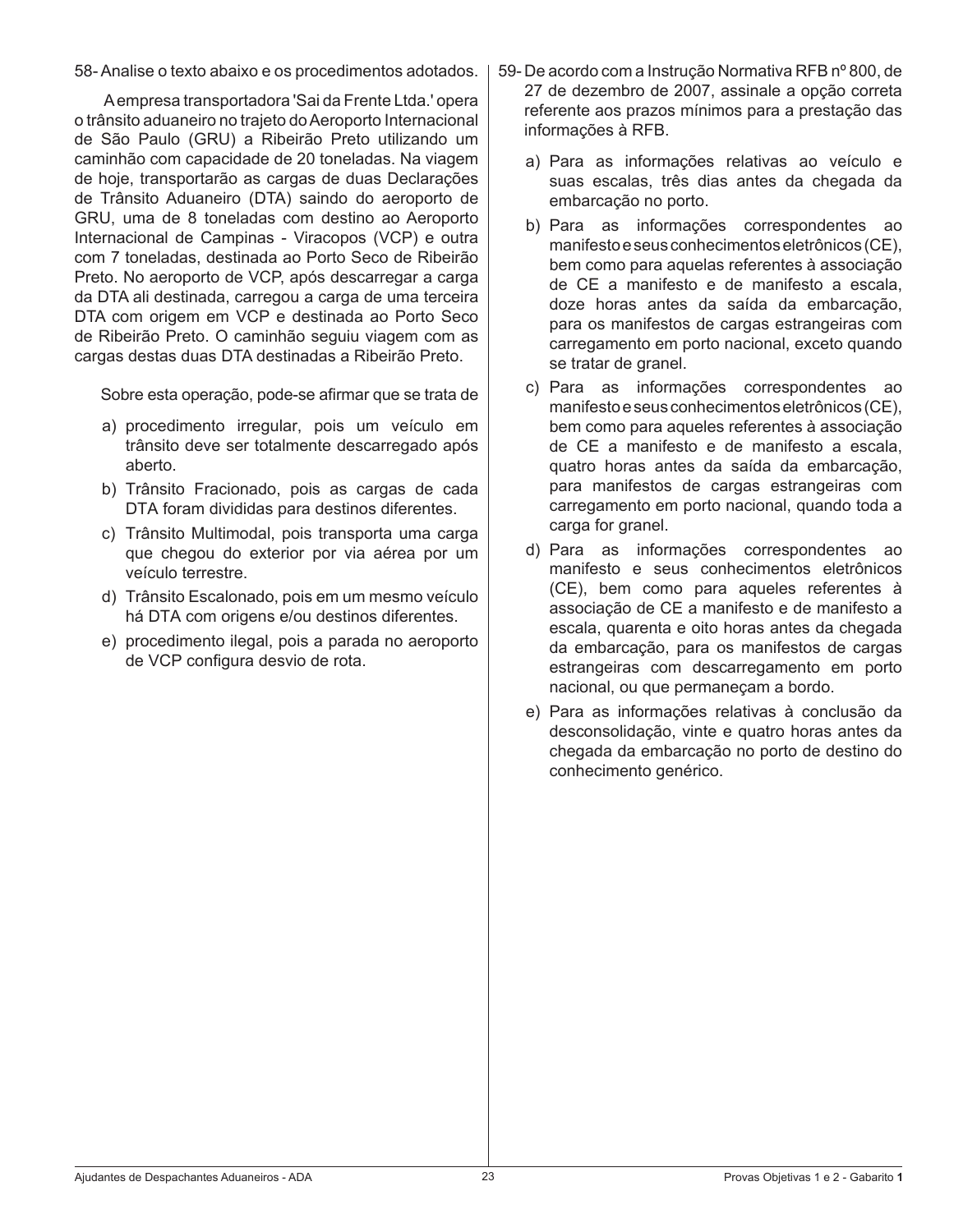58- Analise o texto abaixo e os procedimentos adotados.

 Aempresa transportadora 'Sai da Frente Ltda.' opera o trânsito aduaneiro no trajeto doAeroporto Internacional de São Paulo (GRU) a Ribeirão Preto utilizando um caminhão com capacidade de 20 toneladas. Na viagem de hoje, transportarão as cargas de duas Declarações de Trânsito Aduaneiro (DTA) saindo do aeroporto de GRU, uma de 8 toneladas com destino ao Aeroporto Internacional de Campinas - Viracopos (VCP) e outra com 7 toneladas, destinada ao Porto Seco de Ribeirão Preto. No aeroporto de VCP, após descarregar a carga da DTA ali destinada, carregou a carga de uma terceira DTA com origem em VCP e destinada ao Porto Seco de Ribeirão Preto. O caminhão seguiu viagem com as cargas destas duas DTA destinadas a Ribeirão Preto.

 Sobre esta operação, pode-se afirmar que se trata de

- a) procedimento irregular, pois um veículo em trânsito deve ser totalmente descarregado após aberto.
- b) Trânsito Fracionado, pois as cargas de cada DTA foram divididas para destinos diferentes.
- c) Trânsito Multimodal, pois transporta uma carga que chegou do exterior por via aérea por um veículo terrestre.
- d) Trânsito Escalonado, pois em um mesmo veículo há DTA com origens e/ou destinos diferentes.
- e) procedimento ilegal, pois a parada no aeroporto de VCP configura desvio de rota.
- 59- De acordo com a Instrução Normativa RFB nº 800, de 27 de dezembro de 2007, assinale a opção correta referente aos prazos mínimos para a prestação das informações à RFB.
	- a) Para as informações relativas ao veículo e suas escalas, três dias antes da chegada da embarcação no porto.
	- b) Para as informações correspondentes ao manifestoeseusconhecimentoseletrônicos(CE), bem como para aquelas referentes à associação de CE a manifesto e de manifesto a escala, doze horas antes da saída da embarcação, para os manifestos de cargas estrangeiras com carregamento em porto nacional, exceto quando se tratar de granel.
	- c) Para as informações correspondentes ao manifestoeseusconhecimentoseletrônicos(CE), bem como para aqueles referentes à associação de CE a manifesto e de manifesto a escala, quatro horas antes da saída da embarcação, para manifestos de cargas estrangeiras com carregamento em porto nacional, quando toda a carga for granel.
	- d) Para as informações correspondentes ao manifesto e seus conhecimentos eletrônicos (CE), bem como para aqueles referentes à associação de CE a manifesto e de manifesto a escala, quarenta e oito horas antes da chegada da embarcação, para os manifestos de cargas estrangeiras com descarregamento em porto nacional, ou que permaneçam a bordo.
	- e) Para as informações relativas à conclusão da desconsolidação, vinte e quatro horas antes da chegada da embarcação no porto de destino do conhecimento genérico.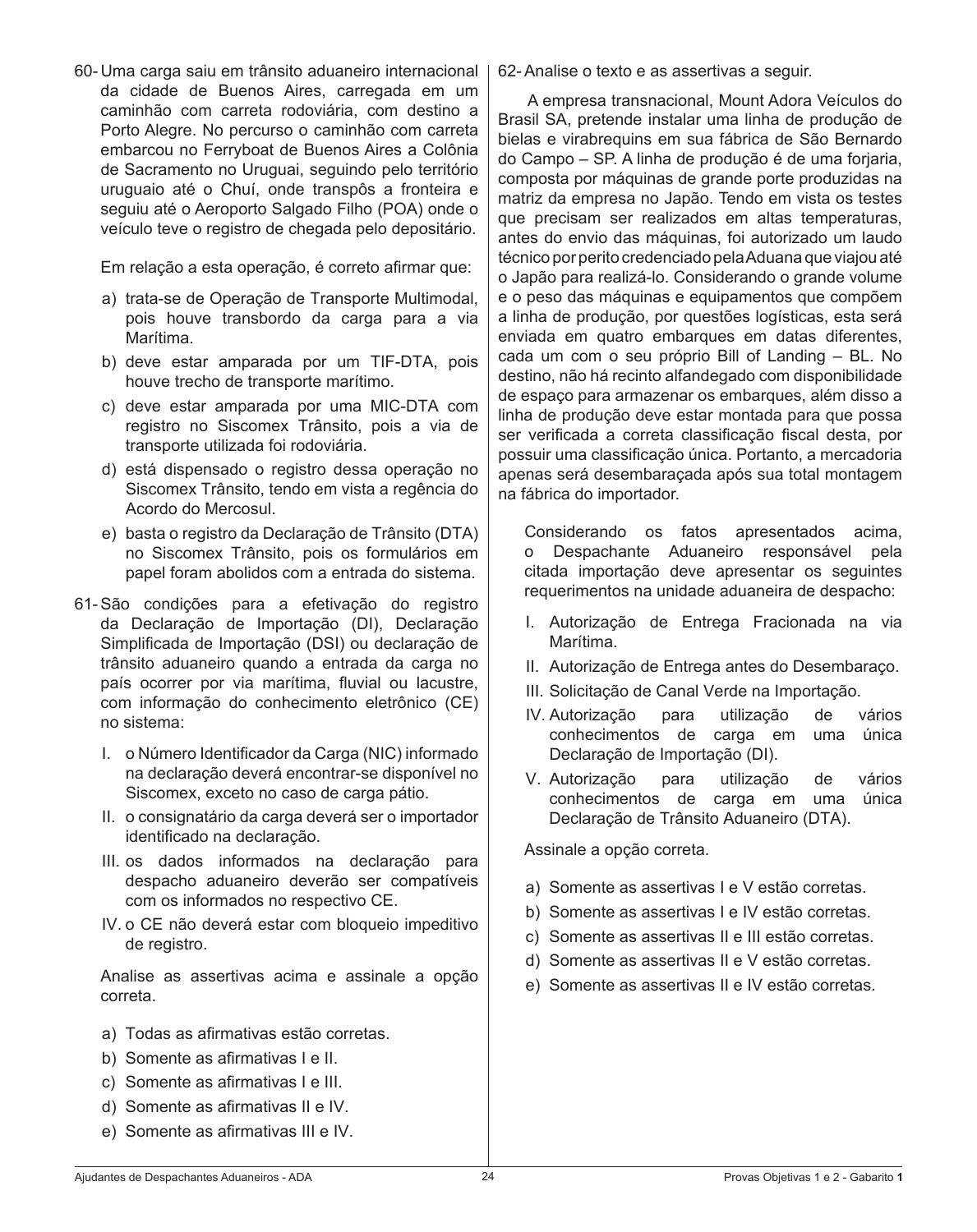60- Uma carga saiu em trânsito aduaneiro internacional da cidade de Buenos Aires, carregada em um caminhão com carreta rodoviária, com destino a Porto Alegre. No percurso o caminhão com carreta embarcou no Ferryboat de Buenos Aires a Colônia de Sacramento no Uruguai, seguindo pelo território uruguaio até o Chuí, onde transpôs a fronteira e seguiu até o Aeroporto Salgado Filho (POA) onde o veículo teve o registro de chegada pelo depositário.

 Em relação a esta operação, é correto afirmar que:

- a) trata-se de Operação de Transporte Multimodal, pois houve transbordo da carga para a via Marítima.
- b) deve estar amparada por um TIF-DTA, pois houve trecho de transporte marítimo.
- c) deve estar amparada por uma MIC-DTA com registro no Siscomex Trânsito, pois a via de transporte utilizada foi rodoviária.
- d) está dispensado o registro dessa operação no Siscomex Trânsito, tendo em vista a regência do Acordo do Mercosul.
- e) basta o registro da Declaração de Trânsito (DTA) no Siscomex Trânsito, pois os formulários em papel foram abolidos com a entrada do sistema.
- 61-São condições para a efetivação do registro da Declaração de Importação (DI), Declaração Simplificada de Importação (DSI) ou declaração de trânsito aduaneiro quando a entrada da carga no país ocorrer por via marítima, fluvial ou lacustre, com informação do conhecimento eletrônico (CE) no sistema:
	- I. o Número Identificador da Carga (NIC) informado na declaração deverá encontrar-se disponível no Siscomex, exceto no caso de carga pátio.
	- II. o consignatário da carga deverá ser o importador identificado na declaração.
	- III. os dados informados na declaração para despacho aduaneiro deverão ser compatíveis com os informados no respectivo CE.
	- IV. o CE não deverá estar com bloqueio impeditivo de registro.

 Analise as assertivas acima e assinale a opção correta.

- a) Todas as afirmativas estão corretas.
- b) Somente as afirmativas I e II.
- c) Somente as afirmativas I e III.
- d) Somente as afirmativas II e IV.
- e) Somente as afirmativas III e IV.

62- Analise o texto e as assertivas a seguir.

 A empresa transnacional, Mount Adora Veículos do Brasil SA, pretende instalar uma linha de produção de bielas e virabrequins em sua fábrica de São Bernardo do Campo – SP. A linha de produção é de uma forjaria, composta por máquinas de grande porte produzidas na matriz da empresa no Japão. Tendo em vista os testes que precisam ser realizados em altas temperaturas, antes do envio das máquinas, foi autorizado um laudo técnico por perito credenciado pela Aduana que viajou até o Japão para realizá-lo. Considerando o grande volume e o peso das máquinas e equipamentos que compõem a linha de produção, por questões logísticas, esta será enviada em quatro embarques em datas diferentes. cada um com o seu próprio Bill of Landing – BL. No destino, não há recinto alfandegado com disponibilidade de espaço para armazenar os embarques, além disso a linha de produção deve estar montada para que possa ser verificada a correta classificação fiscal desta, por possuir uma classificação única. Portanto, a mercadoria apenas será desembaraçada após sua total montagem na fábrica do importador.

 Considerando os fatos apresentados acima, o Despachante Aduaneiro responsável pela citada importação deve apresentar os seguintes requerimentos na unidade aduaneira de despacho:

- I. Autorização de Entrega Fracionada na via Marítima.
- II. Autorização de Entrega antes do Desembaraço.
- III. Solicitação de Canal Verde na Importação.
- IV. Autorização para utilização de vários conhecimentos de carga em uma única Declaração de Importação (DI).
- V. Autorização para utilização de vários conhecimentos de carga em uma única Declaração de Trânsito Aduaneiro (DTA).

 Assinale a opção correta.

- a) Somente as assertivas I e V estão corretas.
- b) Somente as assertivas I e IV estão corretas.
- c) Somente as assertivas II e III estão corretas.
- d) Somente as assertivas II e V estão corretas.
- e) Somente as assertivas II e IV estão corretas.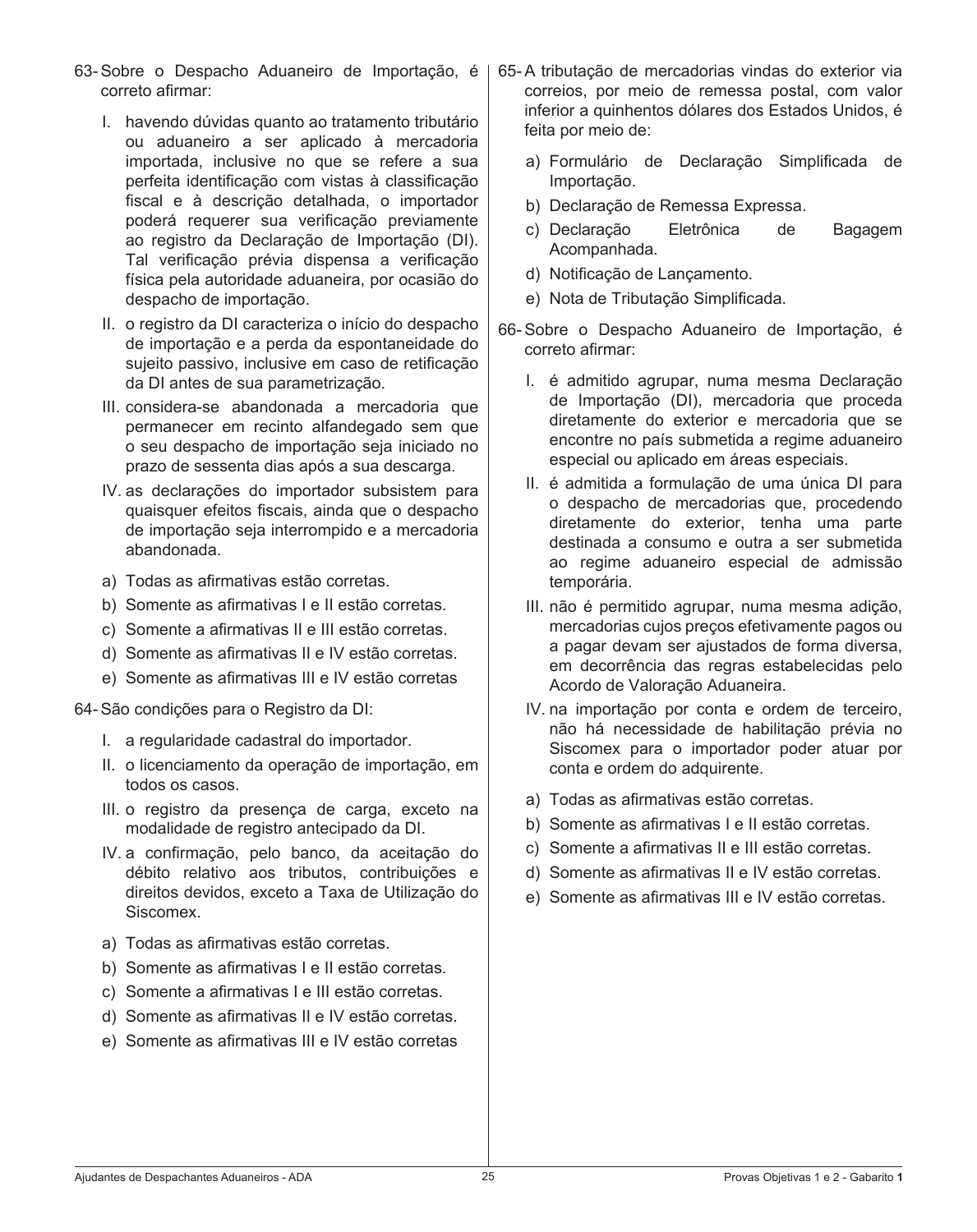- 63- Sobre o Despacho Aduaneiro de Importação, é correto afirmar:
	- I. havendo dúvidas quanto ao tratamento tributário ou aduaneiro a ser aplicado à mercadoria importada, inclusive no que se refere a sua perfeita identificação com vistas à classificação fiscal e à descrição detalhada, o importador poderá requerer sua verificação previamente ao registro da Declaração de Importação (DI). Tal verificação prévia dispensa a verificação física pela autoridade aduaneira, por ocasião do despacho de importação.
	- II. o registro da DI caracteriza o início do despacho de importação e a perda da espontaneidade do sujeito passivo, inclusive em caso de retificação da DI antes de sua parametrização.
	- III. considera-se abandonada a mercadoria que permanecer em recinto alfandegado sem que o seu despacho de importação seja iniciado no prazo de sessenta dias após a sua descarga.
	- IV. as declarações do importador subsistem para quaisquer efeitos fiscais, ainda que o despacho de importação seja interrompido e a mercadoria abandonada.
	- a) Todas as afirmativas estão corretas.
	- b) Somente as afirmativas I e II estão corretas.
	- c) Somente a afirmativas II e III estão corretas.
	- d) Somente as afirmativas II e IV estão corretas.
	- e) Somente as afirmativas III e IV estão corretas

64- São condições para o Registro da DI:

- I. a regularidade cadastral do importador.
- II. o licenciamento da operação de importação, em todos os casos.
- III. o registro da presença de carga, exceto na modalidade de registro antecipado da DI.
- IV. a confirmação, pelo banco, da aceitação do débito relativo aos tributos, contribuições e direitos devidos, exceto a Taxa de Utilização do Siscomex.
- a) Todas as afirmativas estão corretas.
- b) Somente as afirmativas I e II estão corretas.
- c) Somente a afirmativas I e III estão corretas.
- d) Somente as afirmativas II e IV estão corretas.
- e) Somente as afirmativas III e IV estão corretas
- 65- A tributação de mercadorias vindas do exterior via correios, por meio de remessa postal, com valor inferior a quinhentos dólares dos Estados Unidos, é feita por meio de:
	- a) Formulário de Declaração Simplificada de Importação.
	- b) Declaração de Remessa Expressa.
	- c) Declaração Eletrônica de Bagagem Acompanhada.
	- d) Notificação de Lançamento.
	- e) Nota de Tributação Simplificada.
- 66- Sobre o Despacho Aduaneiro de Importação, é correto afirmar:
	- I. é admitido agrupar, numa mesma Declaração de Importação (DI), mercadoria que proceda diretamente do exterior e mercadoria que se encontre no país submetida a regime aduaneiro especial ou aplicado em áreas especiais.
	- II. é admitida a formulação de uma única DI para o despacho de mercadorias que, procedendo diretamente do exterior, tenha uma parte destinada a consumo e outra a ser submetida ao regime aduaneiro especial de admissão temporária.
	- III. não é permitido agrupar, numa mesma adição, mercadorias cujos preços efetivamente pagos ou a pagar devam ser ajustados de forma diversa, em decorrência das regras estabelecidas pelo Acordo de Valoração Aduaneira.
	- IV. na importação por conta e ordem de terceiro, não há necessidade de habilitação prévia no Siscomex para o importador poder atuar por conta e ordem do adquirente.
	- a) Todas as afirmativas estão corretas.
	- b) Somente as afirmativas I e II estão corretas.
	- c) Somente a afirmativas II e III estão corretas.
	- d) Somente as afirmativas II e IV estão corretas.
	- e) Somente as afirmativas III e IV estão corretas.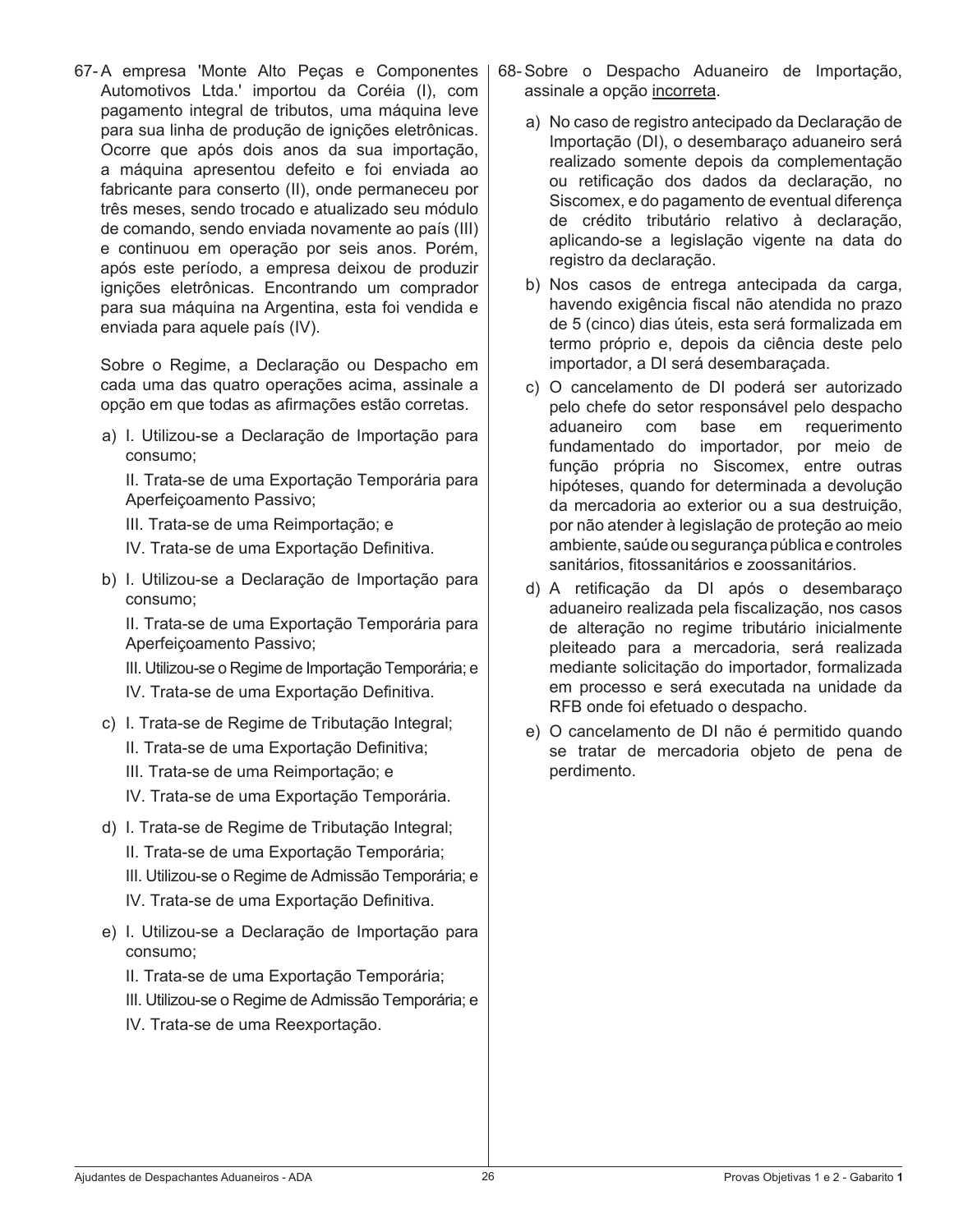67- A empresa 'Monte Alto Peças e Componentes Automotivos Ltda.' importou da Coréia (I), com pagamento integral de tributos, uma máquina leve para sua linha de produção de ignições eletrônicas. Ocorre que após dois anos da sua importação, a máquina apresentou defeito e foi enviada ao fabricante para conserto (II), onde permaneceu por três meses, sendo trocado e atualizado seu módulo de comando, sendo enviada novamente ao país (III) e continuou em operação por seis anos. Porém, após este período, a empresa deixou de produzir ignições eletrônicas. Encontrando um comprador para sua máquina na Argentina, esta foi vendida e enviada para aquele país (IV).

 Sobre o Regime, a Declaração ou Despacho em cada uma das quatro operações acima, assinale a opção em que todas as afirmações estão corretas.

a) I. Utilizou-se a Declaração de Importação para consumo;

 II. Trata-se de uma Exportação Temporária para Aperfeiçoamento Passivo;

 III. Trata-se de uma Reimportação; e

- IV. Trata-se de uma Exportação Definitiva.
- b) I. Utilizou-se a Declaração de Importação para consumo;

 II. Trata-se de uma Exportação Temporária para Aperfeiçoamento Passivo;

 III. Utilizou-se o Regime de Importação Temporária; e IV. Trata-se de uma Exportação Definitiva.

- c) I. Trata-se de Regime de Tributação Integral;
	- II. Trata-se de uma Exportação Definitiva;
	- III. Trata-se de uma Reimportação; e

 IV. Trata-se de uma Exportação Temporária.

- d) I. Trata-se de Regime de Tributação Integral; II. Trata-se de uma Exportação Temporária; III. Utilizou-se o Regime de Admissão Temporária; e IV. Trata-se de uma Exportação Definitiva.
- e) I. Utilizou-se a Declaração de Importação para consumo;

 II. Trata-se de uma Exportação Temporária;

- III. Utilizou-se o Regime de Admissão Temporária; e
- IV. Trata-se de uma Reexportação.
- 68- Sobre o Despacho Aduaneiro de Importação, assinale a opção incorreta.
	- a) No caso de registro antecipado da Declaração de Importação (DI), o desembaraço aduaneiro será realizado somente depois da complementação ou retificação dos dados da declaração, no Siscomex, e do pagamento de eventual diferença de crédito tributário relativo à declaração, aplicando-se a legislação vigente na data do registro da declaração.
	- b) Nos casos de entrega antecipada da carga, havendo exigência fiscal não atendida no prazo de 5 (cinco) dias úteis, esta será formalizada em termo próprio e, depois da ciência deste pelo importador, a DI será desembaraçada.
	- c) O cancelamento de DI poderá ser autorizado pelo chefe do setor responsável pelo despacho aduaneiro com base em requerimento fundamentado do importador, por meio de função própria no Siscomex, entre outras hipóteses, quando for determinada a devolução da mercadoria ao exterior ou a sua destruição, por não atender à legislação de proteção ao meio ambiente, saúde ousegurançapúblicaecontroles sanitários, fitossanitários e zoossanitários.
	- d) A retificação da DI após o desembaraço aduaneiro realizada pela fiscalização, nos casos de alteração no regime tributário inicialmente pleiteado para a mercadoria, será realizada mediante solicitação do importador, formalizada em processo e será executada na unidade da RFB onde foi efetuado o despacho.
	- e) O cancelamento de DI não é permitido quando se tratar de mercadoria objeto de pena de perdimento.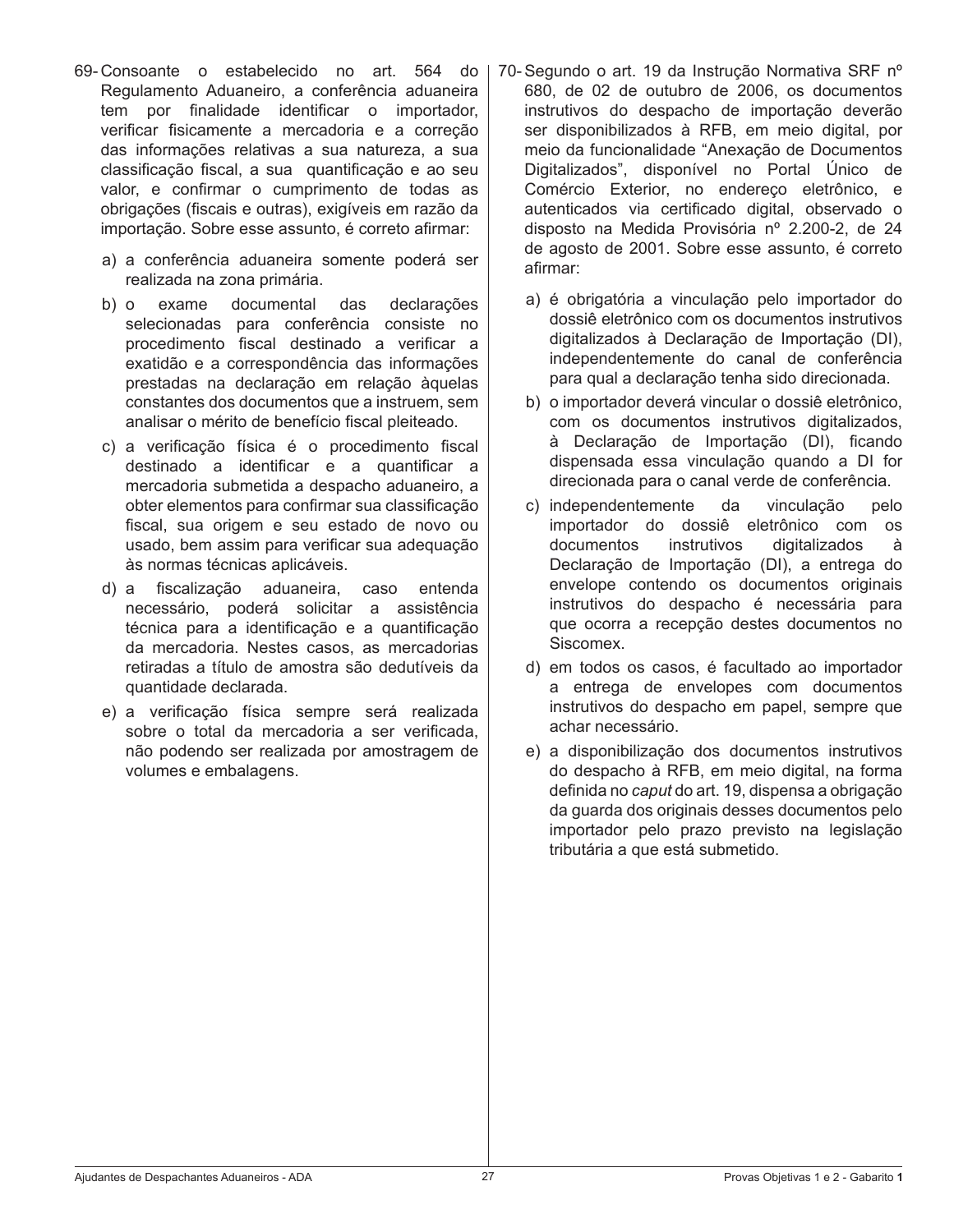- 69- Consoante o estabelecido no art. 564 do Regulamento Aduaneiro, a conferência aduaneira tem por finalidade identificar o importador, verificar fisicamente a mercadoria e a correção das informações relativas a sua natureza, a sua classificação fiscal, a sua quantificação e ao seu valor, e confirmar o cumprimento de todas as obrigações (fiscais e outras), exigíveis em razão da importação. Sobre esse assunto, é correto afirmar:
	- a) a conferência aduaneira somente poderá ser realizada na zona primária.
	- b) o exame documental das declarações selecionadas para conferência consiste no procedimento fiscal destinado a verificar a exatidão e a correspondência das informações prestadas na declaração em relação àquelas constantes dos documentos que a instruem, sem analisar o mérito de benefício fiscal pleiteado.
	- c) a verificação física é o procedimento fiscal destinado a identificar e a quantificar a mercadoria submetida a despacho aduaneiro, a obter elementos para confirmar sua classificação fiscal, sua origem e seu estado de novo ou usado, bem assim para verificar sua adequação às normas técnicas aplicáveis.
	- d) a fiscalização aduaneira, caso entenda necessário, poderá solicitar a assistência técnica para a identificação e a quantificação da mercadoria. Nestes casos, as mercadorias retiradas a título de amostra são dedutíveis da quantidade declarada.
	- e) a verificação física sempre será realizada sobre o total da mercadoria a ser verificada, não podendo ser realizada por amostragem de volumes e embalagens.
- 70- Segundo o art. 19 da Instrução Normativa SRF nº 680, de 02 de outubro de 2006, os documentos instrutivos do despacho de importação deverão ser disponibilizados à RFB, em meio digital, por meio da funcionalidade "Anexação de Documentos Digitalizados", disponível no Portal Único de Comércio Exterior, no endereço eletrônico, e autenticados via certificado digital, observado o disposto na Medida Provisória nº 2.200-2, de 24 de agosto de 2001. Sobre esse assunto, é correto afirmar:
	- a) é obrigatória a vinculação pelo importador do dossiê eletrônico com os documentos instrutivos digitalizados à Declaração de Importação (DI), independentemente do canal de conferência para qual a declaração tenha sido direcionada.
	- b) o importador deverá vincular o dossiê eletrônico, com os documentos instrutivos digitalizados, à Declaração de Importação (DI), ficando dispensada essa vinculação quando a DI for direcionada para o canal verde de conferência.
	- c) independentemente da vinculação pelo importador do dossiê eletrônico com os documentos instrutivos digitalizados à Declaração de Importação (DI), a entrega do envelope contendo os documentos originais instrutivos do despacho é necessária para que ocorra a recepção destes documentos no Siscomex.
	- d) em todos os casos, é facultado ao importador a entrega de envelopes com documentos instrutivos do despacho em papel, sempre que achar necessário.
	- e) a disponibilização dos documentos instrutivos do despacho à RFB, em meio digital, na forma definida no *caput* do art. 19, dispensa a obrigação da guarda dos originais desses documentos pelo importador pelo prazo previsto na legislação tributária a que está submetido.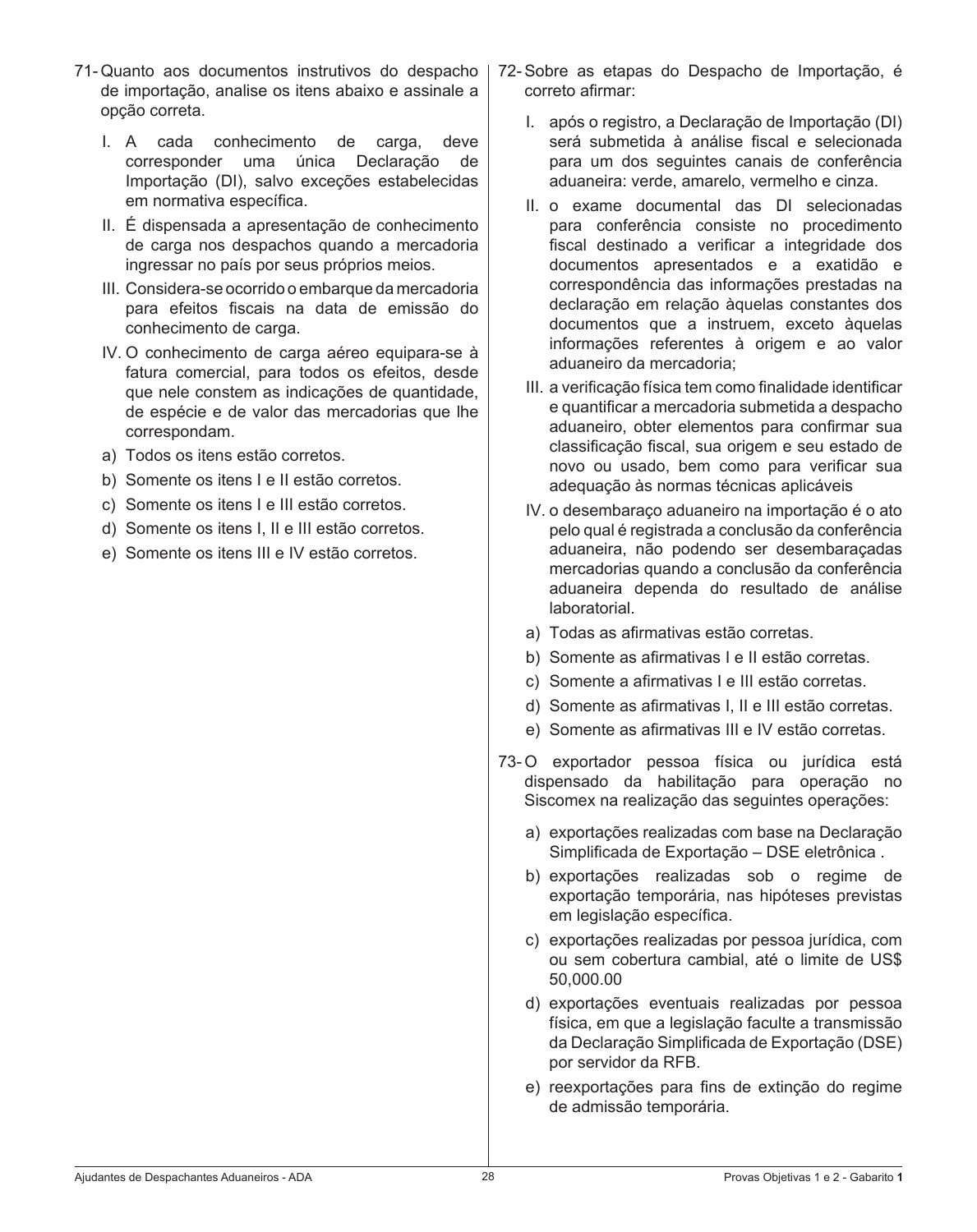- 71- Quanto aos documentos instrutivos do despacho de importação, analise os itens abaixo e assinale a opção correta.
	- I. A cada conhecimento de carga, deve corresponder uma única Declaração de Importação (DI), salvo exceções estabelecidas em normativa específica.
	- II. É dispensada a apresentação de conhecimento de carga nos despachos quando a mercadoria ingressar no país por seus próprios meios.
	- III. Considera-se ocorrido o embarque da mercadoria para efeitos fiscais na data de emissão do conhecimento de carga.
	- IV. O conhecimento de carga aéreo equipara-se à fatura comercial, para todos os efeitos, desde que nele constem as indicações de quantidade, de espécie e de valor das mercadorias que lhe correspondam.
	- a) Todos os itens estão corretos.
	- b) Somente os itens I e II estão corretos.
	- c) Somente os itens I e III estão corretos.
	- d) Somente os itens I, II e III estão corretos.
	- e) Somente os itens III e IV estão corretos.
- 72- Sobre as etapas do Despacho de Importação, é correto afirmar:
	- I. após o registro, a Declaração de Importação (DI) será submetida à análise fiscal e selecionada para um dos seguintes canais de conferência aduaneira: verde, amarelo, vermelho e cinza.
	- II. o exame documental das DI selecionadas para conferência consiste no procedimento fiscal destinado a verificar a integridade dos documentos apresentados e a exatidão e correspondência das informações prestadas na declaração em relação àquelas constantes dos documentos que a instruem, exceto àquelas informações referentes à origem e ao valor aduaneiro da mercadoria;
	- III. a verificação física tem como finalidade identificar e quantificar a mercadoria submetida a despacho aduaneiro, obter elementos para confirmar sua classificação fiscal, sua origem e seu estado de novo ou usado, bem como para verificar sua adequação às normas técnicas aplicáveis
	- IV. o desembaraço aduaneiro na importação é o ato pelo qual é registrada a conclusão da conferência aduaneira, não podendo ser desembaraçadas mercadorias quando a conclusão da conferência aduaneira dependa do resultado de análise laboratorial.
	- a) Todas as afirmativas estão corretas.
	- b) Somente as afirmativas I e II estão corretas.
	- c) Somente a afirmativas I e III estão corretas.
	- d) Somente as afirmativas I, II e III estão corretas.
	- e) Somente as afirmativas III e IV estão corretas.
- 73-O exportador pessoa física ou jurídica está dispensado da habilitação para operação no Siscomex na realização das seguintes operações:
	- a) exportações realizadas com base na Declaração Simplificada de Exportação – DSE eletrônica .
	- b) exportações realizadas sob o regime de exportação temporária, nas hipóteses previstas em legislação específica.
	- c) exportações realizadas por pessoa jurídica, com ou sem cobertura cambial, até o limite de US\$ 50,000.00
	- d) exportações eventuais realizadas por pessoa física, em que a legislação faculte a transmissão da Declaração Simplificada de Exportação (DSE) por servidor da RFB.
	- e) reexportações para fins de extinção do regime de admissão temporária.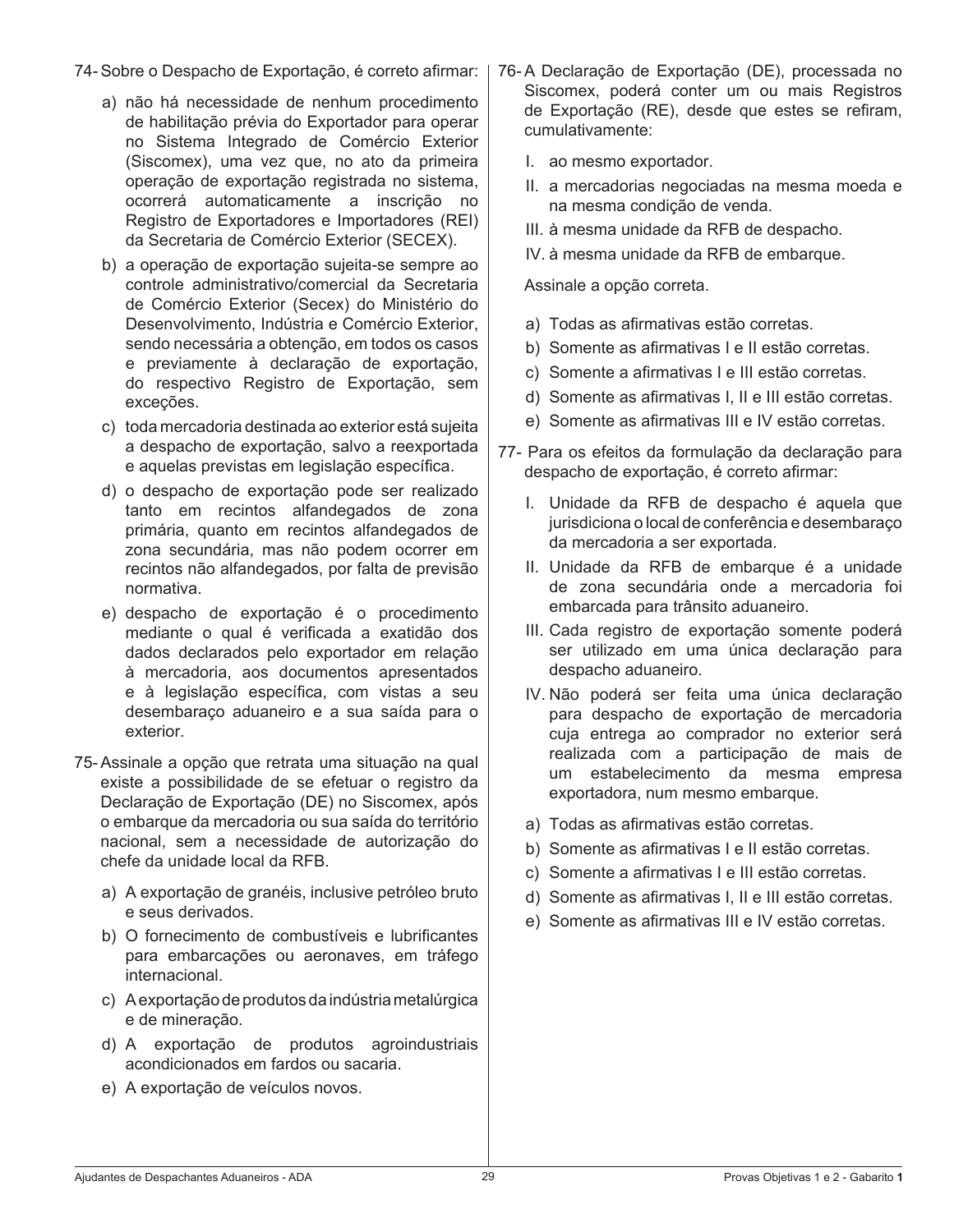- 74- Sobre o Despacho de Exportação, é correto afirmar:
	- a) não há necessidade de nenhum procedimento de habilitação prévia do Exportador para operar no Sistema Integrado de Comércio Exterior (Siscomex), uma vez que, no ato da primeira operação de exportação registrada no sistema, ocorrerá automaticamente a inscrição no Registro de Exportadores e Importadores (REI) da Secretaria de Comércio Exterior (SECEX).
	- b) a operação de exportação sujeita-se sempre ao controle administrativo/comercial da Secretaria de Comércio Exterior (Secex) do Ministério do Desenvolvimento, Indústria e Comércio Exterior, sendo necessária a obtenção, em todos os casos e previamente à declaração de exportação, do respectivo Registro de Exportação, sem exceções.
	- c) toda mercadoria destinada ao exterior está sujeita a despacho de exportação, salvo a reexportada e aquelas previstas em legislação específica.
	- d) o despacho de exportação pode ser realizado tanto em recintos alfandegados de zona primária, quanto em recintos alfandegados de zona secundária, mas não podem ocorrer em recintos não alfandegados, por falta de previsão normativa.
	- e) despacho de exportação é o procedimento mediante o qual é verificada a exatidão dos dados declarados pelo exportador em relação à mercadoria, aos documentos apresentados e à legislação específica, com vistas a seu desembaraço aduaneiro e a sua saída para o exterior.
- 75- Assinale a opção que retrata uma situação na qual existe a possibilidade de se efetuar o registro da Declaração de Exportação (DE) no Siscomex, após o embarque da mercadoria ou sua saída do território nacional, sem a necessidade de autorização do chefe da unidade local da RFB.
	- a) A exportação de granéis, inclusive petróleo bruto e seus derivados.
	- b) O fornecimento de combustíveis e lubrificantes para embarcações ou aeronaves, em tráfego internacional.
	- c) Aexportaçãode produtos daindústria metalúrgica e de mineração.
	- d) A exportação de produtos agroindustriais acondicionados em fardos ou sacaria.
	- e) A exportação de veículos novos.
- 76-A Declaração de Exportação (DE), processada no Siscomex, poderá conter um ou mais Registros de Exportação (RE), desde que estes se refiram, cumulativamente:
	- I. ao mesmo exportador.
	- II. a mercadorias negociadas na mesma moeda e na mesma condição de venda.
	- III. à mesma unidade da RFB de despacho.
	- IV, à mesma unidade da RFB de embarque.

 Assinale a opção correta.

- a) Todas as afirmativas estão corretas.
- b) Somente as afirmativas I e II estão corretas.
- c) Somente a afirmativas I e III estão corretas.
- d) Somente as afirmativas I, II e III estão corretas.
- e) Somente as afirmativas III e IV estão corretas.
- 77- Para os efeitos da formulação da declaração para despacho de exportação, é correto afirmar:
	- I. Unidade da RFB de despacho é aquela que jurisdiciona o local de conferência e desembaraço da mercadoria a ser exportada.
	- II. Unidade da RFB de embarque é a unidade de zona secundária onde a mercadoria foi embarcada para trânsito aduaneiro.
	- III. Cada registro de exportação somente poderá ser utilizado em uma única declaração para despacho aduaneiro.
	- IV. Não poderá ser feita uma única declaração para despacho de exportação de mercadoria cuja entrega ao comprador no exterior será realizada com a participação de mais de um estabelecimento da mesma empresa exportadora, num mesmo embarque.
	- a) Todas as afirmativas estão corretas.
	- b) Somente as afirmativas I e II estão corretas.
	- c) Somente a afirmativas I e III estão corretas.
	- d) Somente as afirmativas I, II e III estão corretas.
	- e) Somente as afirmativas III e IV estão corretas.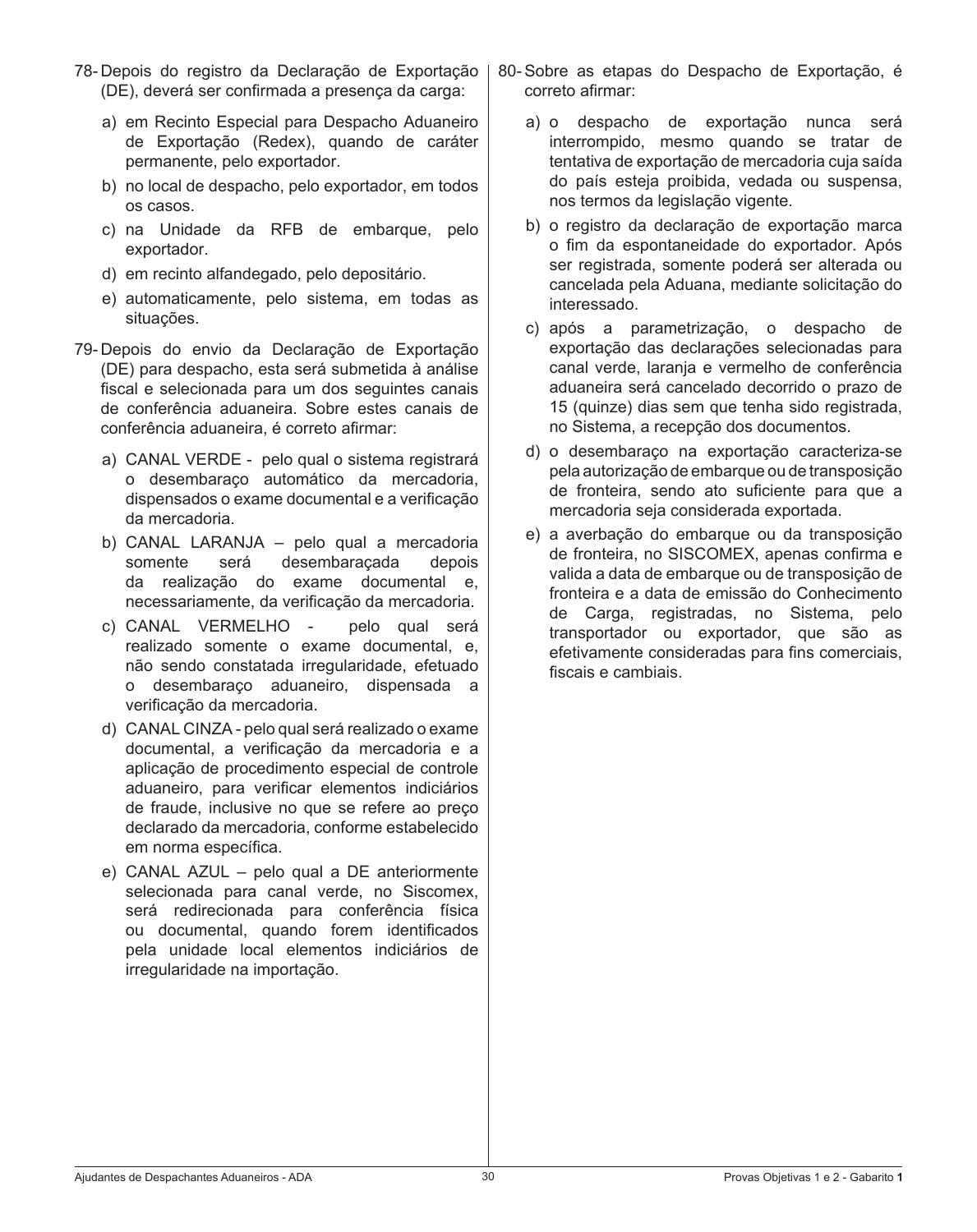- 78- Depois do registro da Declaração de Exportação | (DE), deverá ser confirmada a presença da carga:
	- a) em Recinto Especial para Despacho Aduaneiro de Exportação (Redex), quando de caráter permanente, pelo exportador.
	- b) no local de despacho, pelo exportador, em todos os casos.
	- c) na Unidade da RFB de embarque, pelo exportador.
	- d) em recinto alfandegado, pelo depositário.
	- e) automaticamente, pelo sistema, em todas as situações.
- 79- Depois do envio da Declaração de Exportação (DE) para despacho, esta será submetida à análise fiscal e selecionada para um dos seguintes canais de conferência aduaneira. Sobre estes canais de conferência aduaneira, é correto afirmar:
	- a) CANAL VERDE pelo qual o sistema registrará o desembaraço automático da mercadoria, dispensados o exame documental e a verificação da mercadoria.
	- b) CANAL LARANJA pelo qual a mercadoria somente será desembaraçada depois da realização do exame documental e, necessariamente, da verificação da mercadoria.
	- c) CANAL VERMELHO pelo qual será realizado somente o exame documental, e, não sendo constatada irregularidade, efetuado o desembaraço aduaneiro, dispensada a verificação da mercadoria.
	- d) CANAL CINZA pelo qual será realizado o exame documental, a verificação da mercadoria e a aplicação de procedimento especial de controle aduaneiro, para verificar elementos indiciários de fraude, inclusive no que se refere ao preço declarado da mercadoria, conforme estabelecido em norma específica.
	- e) CANAL AZUL pelo qual a DE anteriormente selecionada para canal verde, no Siscomex, será redirecionada para conferência física ou documental, quando forem identificados pela unidade local elementos indiciários de irregularidade na importação.
- 80- Sobre as etapas do Despacho de Exportação, é correto afirmar:
	- a) o despacho de exportação nunca será interrompido, mesmo quando se tratar de tentativa de exportação de mercadoria cuja saída do país esteja proibida, vedada ou suspensa, nos termos da legislação vigente.
	- b) o registro da declaração de exportação marca o fim da espontaneidade do exportador. Após ser registrada, somente poderá ser alterada ou cancelada pela Aduana, mediante solicitação do interessado.
	- c) após a parametrização, o despacho de exportação das declarações selecionadas para canal verde, laranja e vermelho de conferência aduaneira será cancelado decorrido o prazo de 15 (quinze) dias sem que tenha sido registrada, no Sistema, a recepção dos documentos.
	- d) o desembaraço na exportação caracteriza-se pela autorização de embarque ou de transposição de fronteira, sendo ato suficiente para que a mercadoria seja considerada exportada.
	- e) a averbação do embarque ou da transposição de fronteira, no SISCOMEX, apenas confirma e valida a data de embarque ou de transposição de fronteira e a data de emissão do Conhecimento de Carga, registradas, no Sistema, pelo transportador ou exportador, que são as efetivamente consideradas para fins comerciais, fiscais e cambiais.